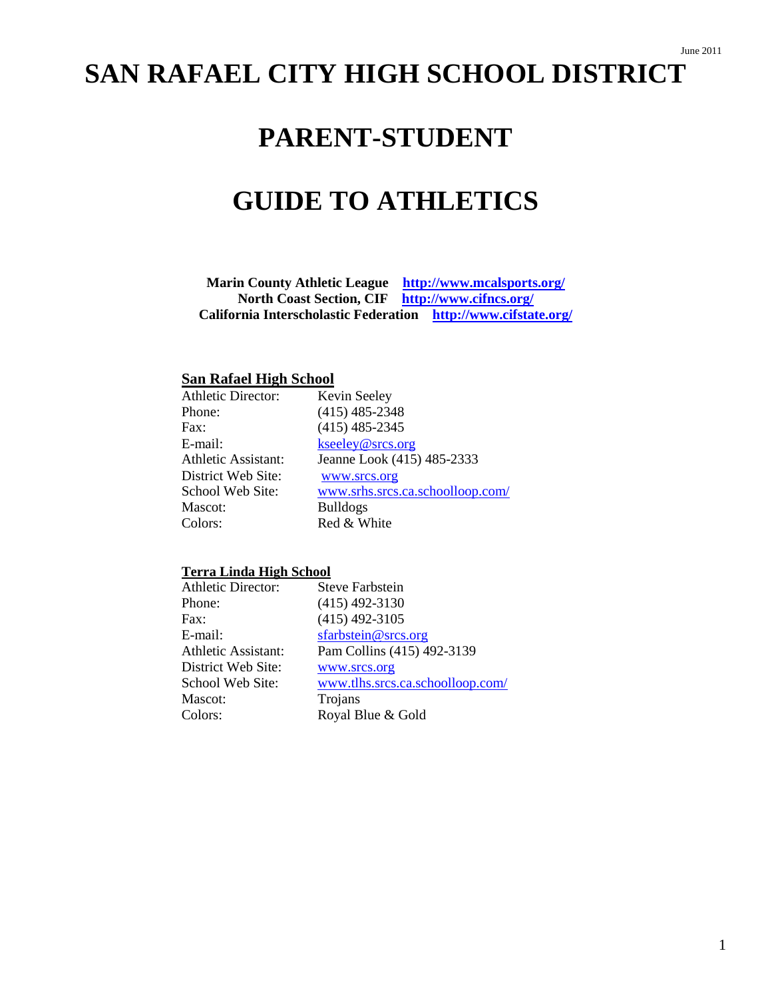# **SAN RAFAEL CITY HIGH SCHOOL DISTRICT**

# **PARENT-STUDENT**

# **GUIDE TO ATHLETICS**

**Marin County Athletic League <http://www.mcalsports.org/> North Coast Section, CIF <http://www.cifncs.org/> California Interscholastic Federation <http://www.cifstate.org/>**

# **San Rafael High School**

| <b>Athletic Director:</b> | Kevin Seeley                     |
|---------------------------|----------------------------------|
| Phone:                    | $(415)$ 485-2348                 |
| Fax:                      | $(415)$ 485-2345                 |
| E-mail:                   | kseeley@srcs.org                 |
| Athletic Assistant:       | Jeanne Look (415) 485-2333       |
| District Web Site:        | www.srcs.org                     |
| School Web Site:          | www.srhs.srcs.ca.schoolloop.com/ |
| Mascot:                   | <b>Bulldogs</b>                  |
| Colors:                   | Red & White                      |

### **Terra Linda High School**

| <b>Athletic Director:</b>  | <b>Steve Farbstein</b>           |
|----------------------------|----------------------------------|
| Phone:                     | $(415)$ 492-3130                 |
| Fax:                       | $(415)$ 492-3105                 |
| E-mail:                    | sfarbstein@srcs.org              |
| <b>Athletic Assistant:</b> | Pam Collins (415) 492-3139       |
| District Web Site:         | www.srcs.org                     |
| School Web Site:           | www.tlhs.srcs.ca.schoolloop.com/ |
| Mascot:                    | Trojans                          |
| Colors:                    | Royal Blue & Gold                |
|                            |                                  |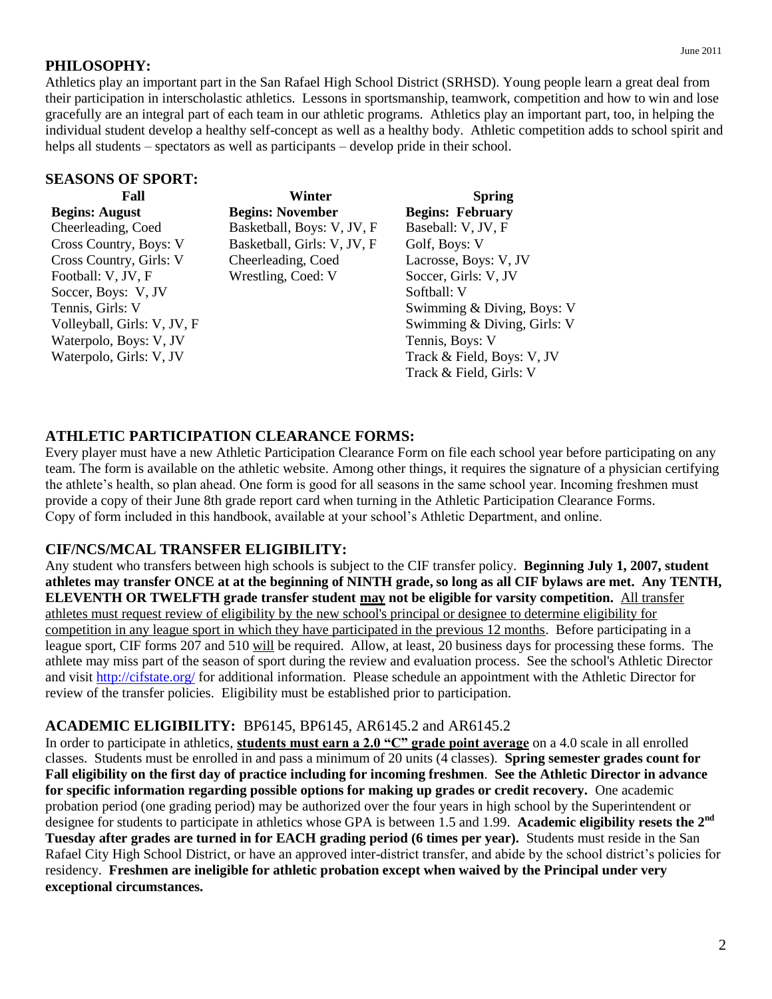# **PHILOSOPHY:**

Athletics play an important part in the San Rafael High School District (SRHSD). Young people learn a great deal from their participation in interscholastic athletics. Lessons in sportsmanship, teamwork, competition and how to win and lose gracefully are an integral part of each team in our athletic programs. Athletics play an important part, too, in helping the individual student develop a healthy self-concept as well as a healthy body. Athletic competition adds to school spirit and helps all students – spectators as well as participants – develop pride in their school.

### **SEASONS OF SPORT:**

| Fall                        | Winter                      | <b>Spring</b>               |
|-----------------------------|-----------------------------|-----------------------------|
| <b>Begins: August</b>       | <b>Begins: November</b>     | <b>Begins: February</b>     |
| Cheerleading, Coed          | Basketball, Boys: V, JV, F  | Baseball: V, JV, F          |
| Cross Country, Boys: V      | Basketball, Girls: V, JV, F | Golf, Boys: V               |
| Cross Country, Girls: V     | Cheerleading, Coed          | Lacrosse, Boys: V, JV       |
| Football: V, JV, F          | Wrestling, Coed: V          | Soccer, Girls: V, JV        |
| Soccer, Boys: V, JV         |                             | Softball: V                 |
| Tennis, Girls: V            |                             | Swimming & Diving, Boys: V  |
| Volleyball, Girls: V, JV, F |                             | Swimming & Diving, Girls: V |
| Waterpolo, Boys: V, JV      |                             | Tennis, Boys: V             |
| Waterpolo, Girls: V, JV     |                             | Track & Field, Boys: V, JV  |
|                             |                             | Track & Field, Girls: V     |

# **ATHLETIC PARTICIPATION CLEARANCE FORMS:**

Every player must have a new Athletic Participation Clearance Form on file each school year before participating on any team. The form is available on the athletic website. Among other things, it requires the signature of a physician certifying the athlete's health, so plan ahead. One form is good for all seasons in the same school year. Incoming freshmen must provide a copy of their June 8th grade report card when turning in the Athletic Participation Clearance Forms. Copy of form included in this handbook, available at your school's Athletic Department, and online.

# **CIF/NCS/MCAL TRANSFER ELIGIBILITY:**

Any student who transfers between high schools is subject to the CIF transfer policy. **Beginning July 1, 2007, student athletes may transfer ONCE at at the beginning of NINTH grade, so long as all CIF bylaws are met. Any TENTH, ELEVENTH OR TWELFTH grade transfer student may not be eligible for varsity competition.** All transfer athletes must request review of eligibility by the new school's principal or designee to determine eligibility for competition in any league sport in which they have participated in the previous 12 months. Before participating in a league sport, CIF forms 207 and 510 will be required. Allow, at least, 20 business days for processing these forms. The athlete may miss part of the season of sport during the review and evaluation process. See the school's Athletic Director and visit<http://cifstate.org/> for additional information. Please schedule an appointment with the Athletic Director for review of the transfer policies. Eligibility must be established prior to participation.

# **ACADEMIC ELIGIBILITY:** BP6145, BP6145, AR6145.2 and AR6145.2

In order to participate in athletics, **students must earn a 2.0 "C" grade point average** on a 4.0 scale in all enrolled classes. Students must be enrolled in and pass a minimum of 20 units (4 classes). **Spring semester grades count for Fall eligibility on the first day of practice including for incoming freshmen**. **See the Athletic Director in advance for specific information regarding possible options for making up grades or credit recovery.** One academic probation period (one grading period) may be authorized over the four years in high school by the Superintendent or designee for students to participate in athletics whose GPA is between 1.5 and 1.99. **Academic eligibility resets the 2nd Tuesday after grades are turned in for EACH grading period (6 times per year).** Students must reside in the San Rafael City High School District, or have an approved inter-district transfer, and abide by the school district's policies for residency. **Freshmen are ineligible for athletic probation except when waived by the Principal under very exceptional circumstances.**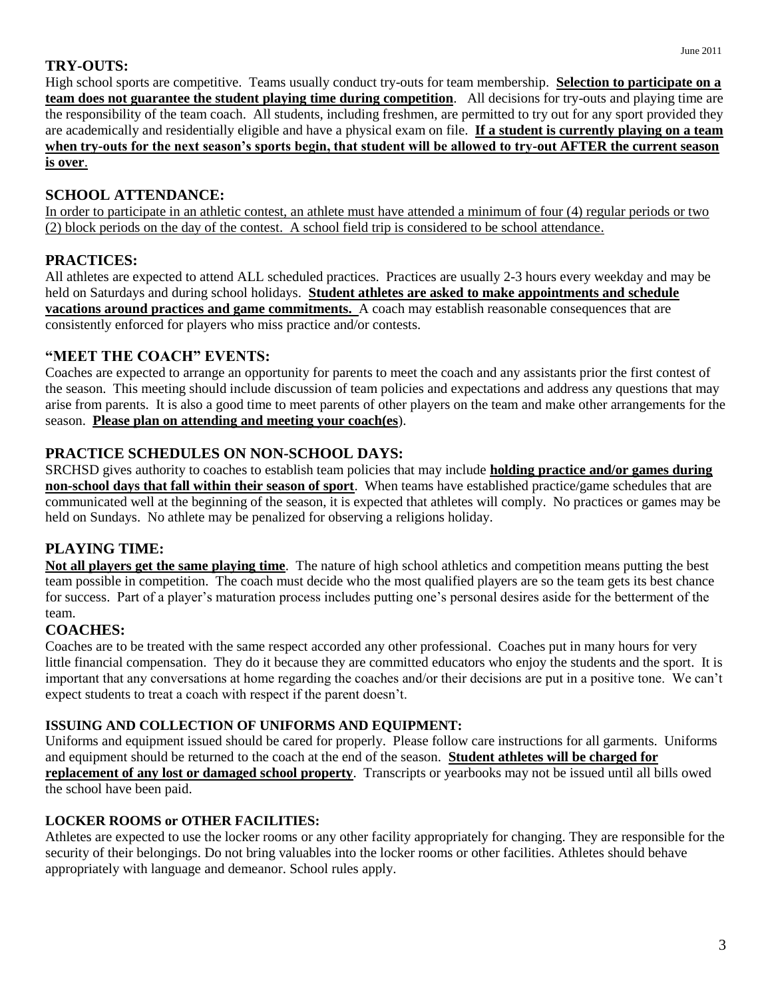High school sports are competitive. Teams usually conduct try-outs for team membership. **Selection to participate on a team does not guarantee the student playing time during competition**. All decisions for try-outs and playing time are the responsibility of the team coach. All students, including freshmen, are permitted to try out for any sport provided they are academically and residentially eligible and have a physical exam on file. **If a student is currently playing on a team when try-outs for the next season's sports begin, that student will be allowed to try-out AFTER the current season is over**.

# **SCHOOL ATTENDANCE:**

In order to participate in an athletic contest, an athlete must have attended a minimum of four (4) regular periods or two (2) block periods on the day of the contest. A school field trip is considered to be school attendance.

# **PRACTICES:**

All athletes are expected to attend ALL scheduled practices. Practices are usually 2-3 hours every weekday and may be held on Saturdays and during school holidays. **Student athletes are asked to make appointments and schedule vacations around practices and game commitments.** A coach may establish reasonable consequences that are consistently enforced for players who miss practice and/or contests.

# **"MEET THE COACH" EVENTS:**

Coaches are expected to arrange an opportunity for parents to meet the coach and any assistants prior the first contest of the season. This meeting should include discussion of team policies and expectations and address any questions that may arise from parents. It is also a good time to meet parents of other players on the team and make other arrangements for the season. **Please plan on attending and meeting your coach(es**).

# **PRACTICE SCHEDULES ON NON-SCHOOL DAYS:**

SRCHSD gives authority to coaches to establish team policies that may include **holding practice and/or games during non-school days that fall within their season of sport**. When teams have established practice/game schedules that are communicated well at the beginning of the season, it is expected that athletes will comply. No practices or games may be held on Sundays. No athlete may be penalized for observing a religions holiday.

# **PLAYING TIME:**

**Not all players get the same playing time**. The nature of high school athletics and competition means putting the best team possible in competition. The coach must decide who the most qualified players are so the team gets its best chance for success. Part of a player's maturation process includes putting one's personal desires aside for the betterment of the team.

# **COACHES:**

Coaches are to be treated with the same respect accorded any other professional. Coaches put in many hours for very little financial compensation. They do it because they are committed educators who enjoy the students and the sport. It is important that any conversations at home regarding the coaches and/or their decisions are put in a positive tone. We can't expect students to treat a coach with respect if the parent doesn't.

# **ISSUING AND COLLECTION OF UNIFORMS AND EQUIPMENT:**

Uniforms and equipment issued should be cared for properly. Please follow care instructions for all garments. Uniforms and equipment should be returned to the coach at the end of the season. **Student athletes will be charged for replacement of any lost or damaged school property**. Transcripts or yearbooks may not be issued until all bills owed the school have been paid.

# **LOCKER ROOMS or OTHER FACILITIES:**

Athletes are expected to use the locker rooms or any other facility appropriately for changing. They are responsible for the security of their belongings. Do not bring valuables into the locker rooms or other facilities. Athletes should behave appropriately with language and demeanor. School rules apply.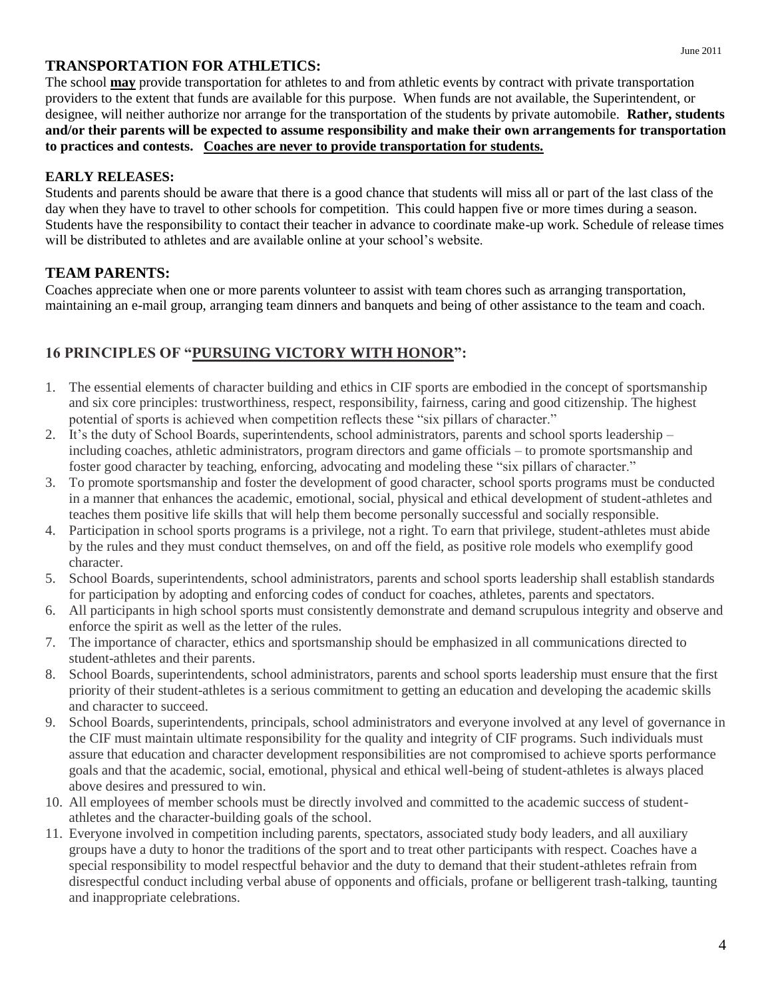# **TRANSPORTATION FOR ATHLETICS:**

The school **may** provide transportation for athletes to and from athletic events by contract with private transportation providers to the extent that funds are available for this purpose. When funds are not available, the Superintendent, or designee, will neither authorize nor arrange for the transportation of the students by private automobile. **Rather, students and/or their parents will be expected to assume responsibility and make their own arrangements for transportation to practices and contests. Coaches are never to provide transportation for students.**

# **EARLY RELEASES:**

Students and parents should be aware that there is a good chance that students will miss all or part of the last class of the day when they have to travel to other schools for competition. This could happen five or more times during a season. Students have the responsibility to contact their teacher in advance to coordinate make-up work. Schedule of release times will be distributed to athletes and are available online at your school's website.

# **TEAM PARENTS:**

Coaches appreciate when one or more parents volunteer to assist with team chores such as arranging transportation, maintaining an e-mail group, arranging team dinners and banquets and being of other assistance to the team and coach.

# **16 PRINCIPLES OF "PURSUING VICTORY WITH HONOR":**

- 1. The essential elements of character building and ethics in CIF sports are embodied in the concept of sportsmanship and six core principles: trustworthiness, respect, responsibility, fairness, caring and good citizenship. The highest potential of sports is achieved when competition reflects these "six pillars of character."
- 2. It's the duty of School Boards, superintendents, school administrators, parents and school sports leadership including coaches, athletic administrators, program directors and game officials – to promote sportsmanship and foster good character by teaching, enforcing, advocating and modeling these "six pillars of character."
- 3. To promote sportsmanship and foster the development of good character, school sports programs must be conducted in a manner that enhances the academic, emotional, social, physical and ethical development of student-athletes and teaches them positive life skills that will help them become personally successful and socially responsible.
- 4. Participation in school sports programs is a privilege, not a right. To earn that privilege, student-athletes must abide by the rules and they must conduct themselves, on and off the field, as positive role models who exemplify good character.
- 5. School Boards, superintendents, school administrators, parents and school sports leadership shall establish standards for participation by adopting and enforcing codes of conduct for coaches, athletes, parents and spectators.
- 6. All participants in high school sports must consistently demonstrate and demand scrupulous integrity and observe and enforce the spirit as well as the letter of the rules.
- 7. The importance of character, ethics and sportsmanship should be emphasized in all communications directed to student-athletes and their parents.
- 8. School Boards, superintendents, school administrators, parents and school sports leadership must ensure that the first priority of their student-athletes is a serious commitment to getting an education and developing the academic skills and character to succeed.
- 9. School Boards, superintendents, principals, school administrators and everyone involved at any level of governance in the CIF must maintain ultimate responsibility for the quality and integrity of CIF programs. Such individuals must assure that education and character development responsibilities are not compromised to achieve sports performance goals and that the academic, social, emotional, physical and ethical well-being of student-athletes is always placed above desires and pressured to win.
- 10. All employees of member schools must be directly involved and committed to the academic success of studentathletes and the character-building goals of the school.
- 11. Everyone involved in competition including parents, spectators, associated study body leaders, and all auxiliary groups have a duty to honor the traditions of the sport and to treat other participants with respect. Coaches have a special responsibility to model respectful behavior and the duty to demand that their student-athletes refrain from disrespectful conduct including verbal abuse of opponents and officials, profane or belligerent trash-talking, taunting and inappropriate celebrations.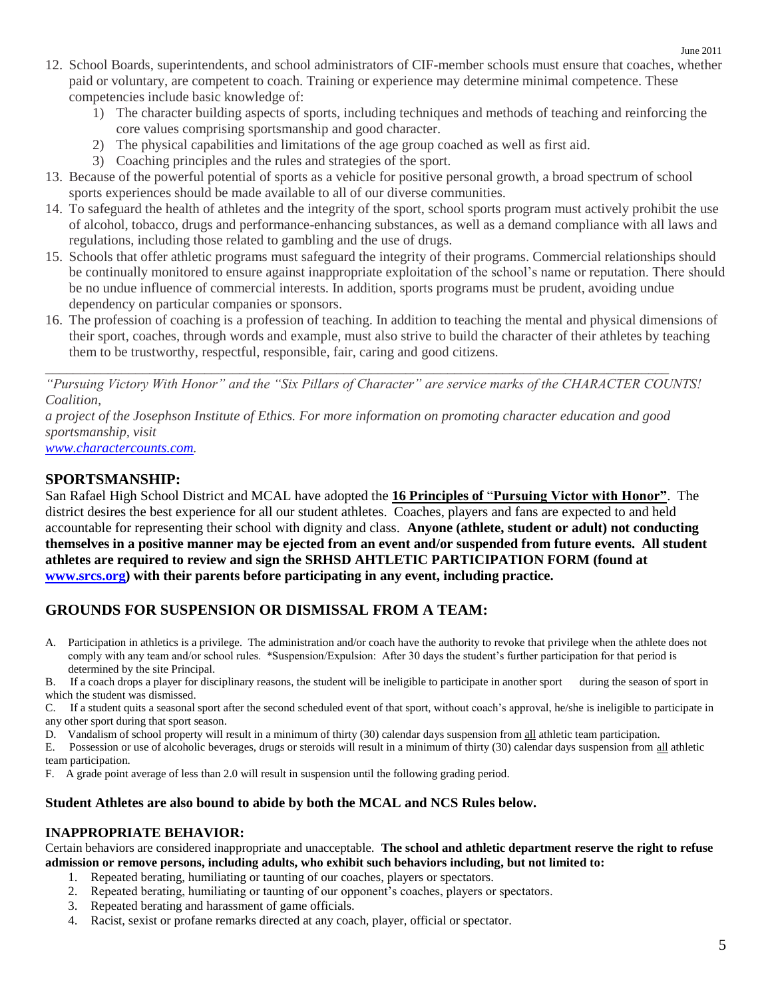- 12. School Boards, superintendents, and school administrators of CIF-member schools must ensure that coaches, whether paid or voluntary, are competent to coach. Training or experience may determine minimal competence. These competencies include basic knowledge of:
	- 1) The character building aspects of sports, including techniques and methods of teaching and reinforcing the core values comprising sportsmanship and good character.
	- 2) The physical capabilities and limitations of the age group coached as well as first aid.
	- 3) Coaching principles and the rules and strategies of the sport.
- 13. Because of the powerful potential of sports as a vehicle for positive personal growth, a broad spectrum of school sports experiences should be made available to all of our diverse communities.
- 14. To safeguard the health of athletes and the integrity of the sport, school sports program must actively prohibit the use of alcohol, tobacco, drugs and performance-enhancing substances, as well as a demand compliance with all laws and regulations, including those related to gambling and the use of drugs.
- 15. Schools that offer athletic programs must safeguard the integrity of their programs. Commercial relationships should be continually monitored to ensure against inappropriate exploitation of the school's name or reputation. There should be no undue influence of commercial interests. In addition, sports programs must be prudent, avoiding undue dependency on particular companies or sponsors.
- 16. The profession of coaching is a profession of teaching. In addition to teaching the mental and physical dimensions of their sport, coaches, through words and example, must also strive to build the character of their athletes by teaching them to be trustworthy, respectful, responsible, fair, caring and good citizens.

*"Pursuing Victory With Honor" and the "Six Pillars of Character" are service marks of the CHARACTER COUNTS! Coalition,*

*a project of the Josephson Institute of Ethics. For more information on promoting character education and good sportsmanship, visit*

\_\_\_\_\_\_\_\_\_\_\_\_\_\_\_\_\_\_\_\_\_\_\_\_\_\_\_\_\_\_\_\_\_\_\_\_\_\_\_\_\_\_\_\_\_\_\_\_\_\_\_\_\_\_\_\_\_\_\_\_\_\_\_\_\_\_\_\_\_\_\_\_\_\_\_\_\_\_\_\_\_\_\_\_\_\_\_\_\_\_

*[www.charactercounts.com.](http://www.charactercounts.com/)*

# **SPORTSMANSHIP:**

San Rafael High School District and MCAL have adopted the **16 Principles of** "**Pursuing Victor with Honor"**. The district desires the best experience for all our student athletes. Coaches, players and fans are expected to and held accountable for representing their school with dignity and class. **Anyone (athlete, student or adult) not conducting themselves in a positive manner may be ejected from an event and/or suspended from future events. All student athletes are required to review and sign the SRHSD AHTLETIC PARTICIPATION FORM (found at [www.srcs.org\)](http://www.srcs.org/) with their parents before participating in any event, including practice.**

# **GROUNDS FOR SUSPENSION OR DISMISSAL FROM A TEAM:**

A. Participation in athletics is a privilege. The administration and/or coach have the authority to revoke that privilege when the athlete does not comply with any team and/or school rules. \*Suspension/Expulsion: After 30 days the student's further participation for that period is determined by the site Principal.

B. If a coach drops a player for disciplinary reasons, the student will be ineligible to participate in another sport during the season of sport in which the student was dismissed.

C. If a student quits a seasonal sport after the second scheduled event of that sport, without coach's approval, he/she is ineligible to participate in any other sport during that sport season.

D. Vandalism of school property will result in a minimum of thirty (30) calendar days suspension from all athletic team participation.

E. Possession or use of alcoholic beverages, drugs or steroids will result in a minimum of thirty (30) calendar days suspension from all athletic team participation.

F. A grade point average of less than 2.0 will result in suspension until the following grading period.

# **Student Athletes are also bound to abide by both the MCAL and NCS Rules below.**

# **INAPPROPRIATE BEHAVIOR:**

Certain behaviors are considered inappropriate and unacceptable. **The school and athletic department reserve the right to refuse admission or remove persons, including adults, who exhibit such behaviors including, but not limited to:**

- 1. Repeated berating, humiliating or taunting of our coaches, players or spectators.
- 2. Repeated berating, humiliating or taunting of our opponent's coaches, players or spectators.
- 3. Repeated berating and harassment of game officials.
- 4. Racist, sexist or profane remarks directed at any coach, player, official or spectator.

June 2011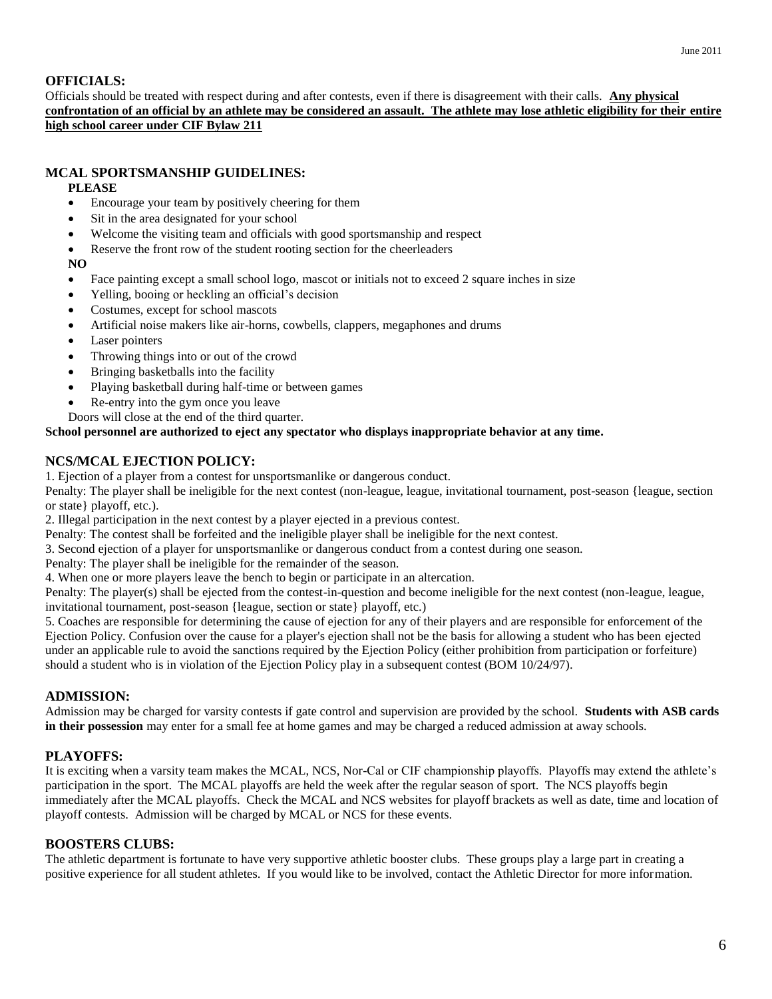### **OFFICIALS:**

Officials should be treated with respect during and after contests, even if there is disagreement with their calls. **Any physical confrontation of an official by an athlete may be considered an assault. The athlete may lose athletic eligibility for their entire high school career under CIF Bylaw 211**

### **MCAL SPORTSMANSHIP GUIDELINES:**

### **PLEASE**

- Encourage your team by positively cheering for them
- Sit in the area designated for your school
- Welcome the visiting team and officials with good sportsmanship and respect
- Reserve the front row of the student rooting section for the cheerleaders

### **NO**

- Face painting except a small school logo, mascot or initials not to exceed 2 square inches in size
- Yelling, booing or heckling an official's decision
- Costumes, except for school mascots
- Artificial noise makers like air-horns, cowbells, clappers, megaphones and drums
- Laser pointers
- Throwing things into or out of the crowd
- Bringing basketballs into the facility
- Playing basketball during half-time or between games
- Re-entry into the gym once you leave
- Doors will close at the end of the third quarter.

### **School personnel are authorized to eject any spectator who displays inappropriate behavior at any time.**

### **NCS/MCAL EJECTION POLICY:**

1. Ejection of a player from a contest for unsportsmanlike or dangerous conduct.

Penalty: The player shall be ineligible for the next contest (non-league, league, invitational tournament, post-season {league, section or state} playoff, etc.).

2. Illegal participation in the next contest by a player ejected in a previous contest.

Penalty: The contest shall be forfeited and the ineligible player shall be ineligible for the next contest.

3. Second ejection of a player for unsportsmanlike or dangerous conduct from a contest during one season.

Penalty: The player shall be ineligible for the remainder of the season.

4. When one or more players leave the bench to begin or participate in an altercation.

Penalty: The player(s) shall be ejected from the contest-in-question and become ineligible for the next contest (non-league, league, invitational tournament, post-season {league, section or state} playoff, etc.)

5. Coaches are responsible for determining the cause of ejection for any of their players and are responsible for enforcement of the Ejection Policy. Confusion over the cause for a player's ejection shall not be the basis for allowing a student who has been ejected under an applicable rule to avoid the sanctions required by the Ejection Policy (either prohibition from participation or forfeiture) should a student who is in violation of the Ejection Policy play in a subsequent contest (BOM 10/24/97).

### **ADMISSION:**

Admission may be charged for varsity contests if gate control and supervision are provided by the school. **Students with ASB cards in their possession** may enter for a small fee at home games and may be charged a reduced admission at away schools.

### **PLAYOFFS:**

It is exciting when a varsity team makes the MCAL, NCS, Nor-Cal or CIF championship playoffs. Playoffs may extend the athlete's participation in the sport. The MCAL playoffs are held the week after the regular season of sport. The NCS playoffs begin immediately after the MCAL playoffs. Check the MCAL and NCS websites for playoff brackets as well as date, time and location of playoff contests. Admission will be charged by MCAL or NCS for these events.

### **BOOSTERS CLUBS:**

The athletic department is fortunate to have very supportive athletic booster clubs. These groups play a large part in creating a positive experience for all student athletes. If you would like to be involved, contact the Athletic Director for more information.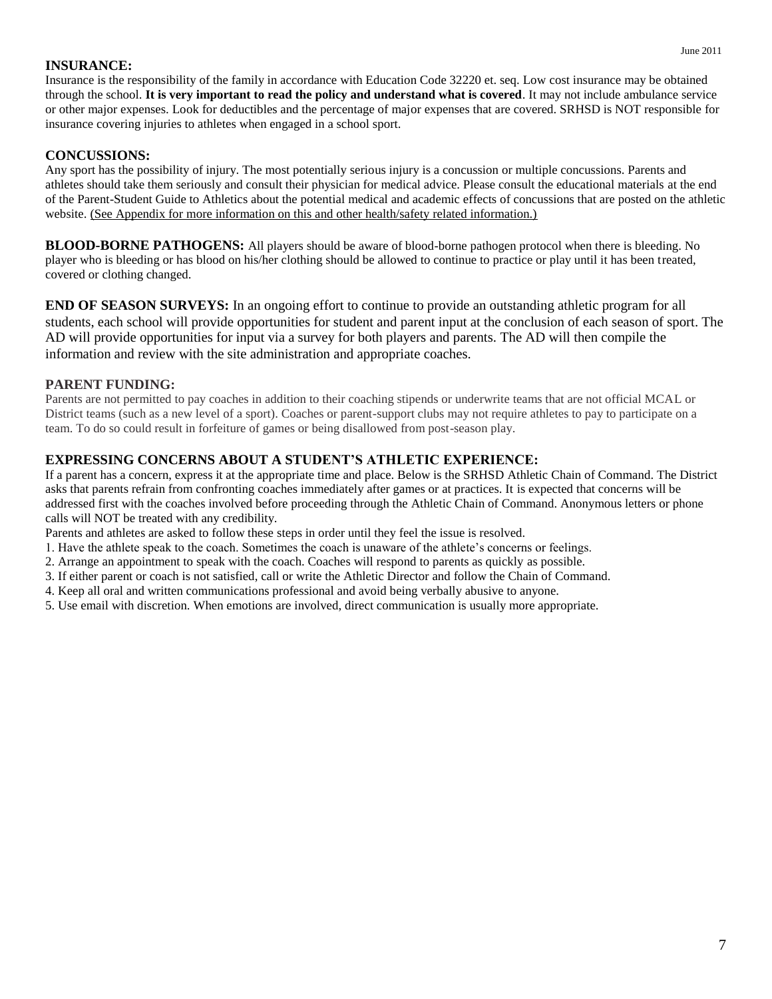# **INSURANCE:**

Insurance is the responsibility of the family in accordance with Education Code 32220 et. seq. Low cost insurance may be obtained through the school. **It is very important to read the policy and understand what is covered**. It may not include ambulance service or other major expenses. Look for deductibles and the percentage of major expenses that are covered. SRHSD is NOT responsible for insurance covering injuries to athletes when engaged in a school sport.

# **CONCUSSIONS:**

Any sport has the possibility of injury. The most potentially serious injury is a concussion or multiple concussions. Parents and athletes should take them seriously and consult their physician for medical advice. Please consult the educational materials at the end of the Parent-Student Guide to Athletics about the potential medical and academic effects of concussions that are posted on the athletic website. (See Appendix for more information on this and other health/safety related information.)

**BLOOD-BORNE PATHOGENS:** All players should be aware of blood-borne pathogen protocol when there is bleeding. No player who is bleeding or has blood on his/her clothing should be allowed to continue to practice or play until it has been treated, covered or clothing changed.

**END OF SEASON SURVEYS:** In an ongoing effort to continue to provide an outstanding athletic program for all students, each school will provide opportunities for student and parent input at the conclusion of each season of sport. The AD will provide opportunities for input via a survey for both players and parents. The AD will then compile the information and review with the site administration and appropriate coaches.

# **PARENT FUNDING:**

Parents are not permitted to pay coaches in addition to their coaching stipends or underwrite teams that are not official MCAL or District teams (such as a new level of a sport). Coaches or parent-support clubs may not require athletes to pay to participate on a team. To do so could result in forfeiture of games or being disallowed from post-season play.

# **EXPRESSING CONCERNS ABOUT A STUDENT'S ATHLETIC EXPERIENCE:**

If a parent has a concern, express it at the appropriate time and place. Below is the SRHSD Athletic Chain of Command. The District asks that parents refrain from confronting coaches immediately after games or at practices. It is expected that concerns will be addressed first with the coaches involved before proceeding through the Athletic Chain of Command. Anonymous letters or phone calls will NOT be treated with any credibility.

Parents and athletes are asked to follow these steps in order until they feel the issue is resolved.

1. Have the athlete speak to the coach. Sometimes the coach is unaware of the athlete's concerns or feelings.

2. Arrange an appointment to speak with the coach. Coaches will respond to parents as quickly as possible.

- 3. If either parent or coach is not satisfied, call or write the Athletic Director and follow the Chain of Command.
- 4. Keep all oral and written communications professional and avoid being verbally abusive to anyone.

5. Use email with discretion. When emotions are involved, direct communication is usually more appropriate.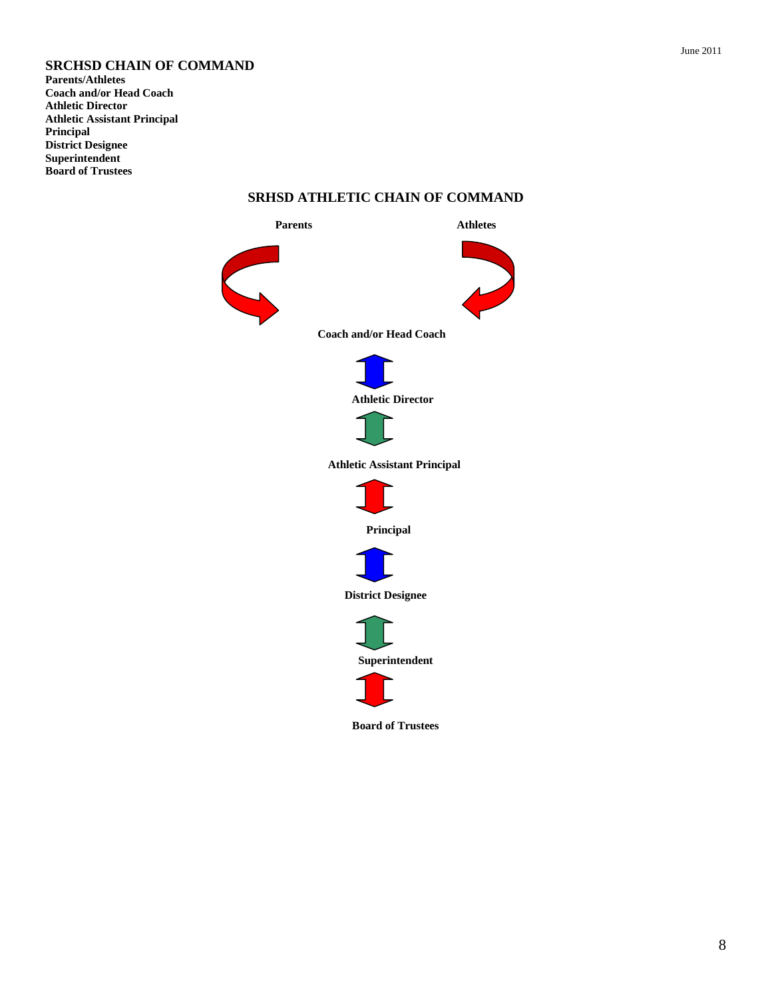# **SRCHSD CHAIN OF COMMAND**

**Parents/Athletes Coach and/or Head Coach Athletic Director Athletic Assistant Principal Principal District Designee Superintendent Board of Trustees**



### **SRHSD ATHLETIC CHAIN OF COMMAND**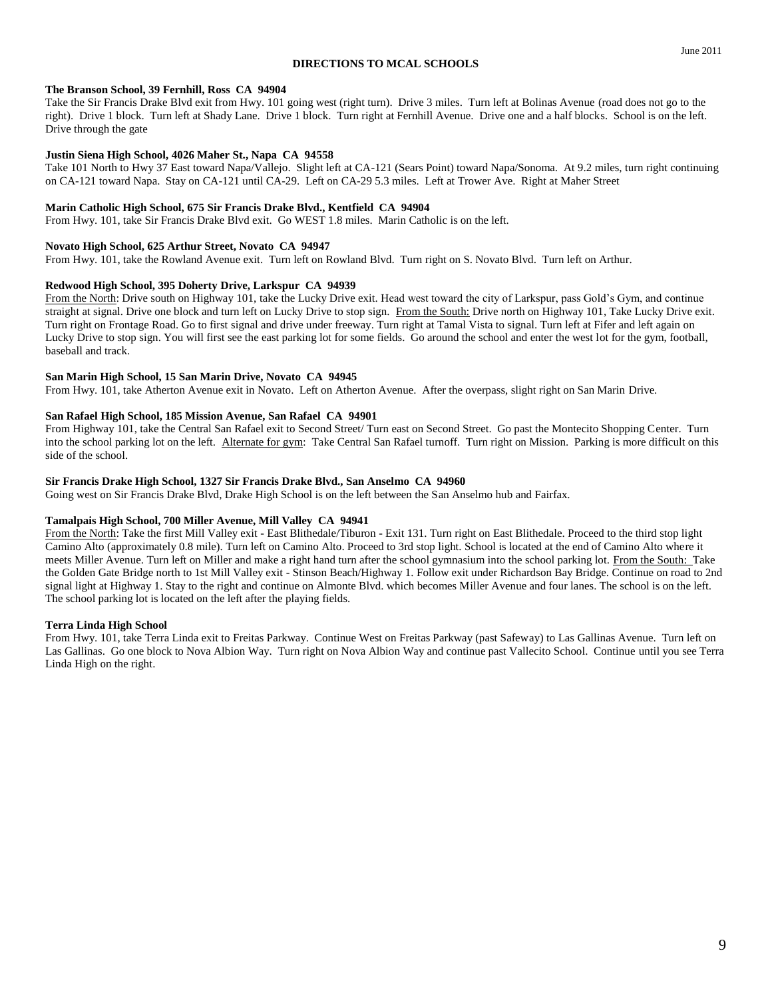### **DIRECTIONS TO MCAL SCHOOLS**

Take the Sir Francis Drake Blvd exit from Hwy. 101 going west (right turn). Drive 3 miles. Turn left at Bolinas Avenue (road does not go to the right). Drive 1 block. Turn left at Shady Lane. Drive 1 block. Turn right at Fernhill Avenue. Drive one and a half blocks. School is on the left. Drive through the gate

### **Justin Siena High School, 4026 Maher St., Napa CA 94558**

Take 101 North to Hwy 37 East toward Napa/Vallejo. Slight left at CA-121 (Sears Point) toward Napa/Sonoma. At 9.2 miles, turn right continuing on CA-121 toward Napa. Stay on CA-121 until CA-29. Left on CA-29 5.3 miles. Left at Trower Ave. Right at Maher Street

### **Marin Catholic High School, 675 Sir Francis Drake Blvd., Kentfield CA 94904**

From Hwy. 101, take Sir Francis Drake Blvd exit. Go WEST 1.8 miles. Marin Catholic is on the left.

### **Novato High School, 625 Arthur Street, Novato CA 94947**

From Hwy. 101, take the Rowland Avenue exit. Turn left on Rowland Blvd. Turn right on S. Novato Blvd. Turn left on Arthur.

### **Redwood High School, 395 Doherty Drive, Larkspur CA 94939**

From the North: Drive south on Highway 101, take the Lucky Drive exit. Head west toward the city of Larkspur, pass Gold's Gym, and continue straight at signal. Drive one block and turn left on Lucky Drive to stop sign. From the South: Drive north on Highway 101, Take Lucky Drive exit. Turn right on Frontage Road. Go to first signal and drive under freeway. Turn right at Tamal Vista to signal. Turn left at Fifer and left again on Lucky Drive to stop sign. You will first see the east parking lot for some fields. Go around the school and enter the west lot for the gym, football, baseball and track.

#### **San Marin High School, 15 San Marin Drive, Novato CA 94945**

From Hwy. 101, take Atherton Avenue exit in Novato. Left on Atherton Avenue. After the overpass, slight right on San Marin Drive.

### **San Rafael High School, 185 Mission Avenue, San Rafael CA 94901**

From Highway 101, take the Central San Rafael exit to Second Street/ Turn east on Second Street. Go past the Montecito Shopping Center. Turn into the school parking lot on the left. Alternate for gym: Take Central San Rafael turnoff. Turn right on Mission. Parking is more difficult on this side of the school.

### **Sir Francis Drake High School, 1327 Sir Francis Drake Blvd., San Anselmo CA 94960**

Going west on Sir Francis Drake Blvd, Drake High School is on the left between the San Anselmo hub and Fairfax.

#### **Tamalpais High School, 700 Miller Avenue, Mill Valley CA 94941**

From the North: Take the first Mill Valley exit - East Blithedale/Tiburon - Exit 131. Turn right on East Blithedale. Proceed to the third stop light Camino Alto (approximately 0.8 mile). Turn left on Camino Alto. Proceed to 3rd stop light. School is located at the end of Camino Alto where it meets Miller Avenue. Turn left on Miller and make a right hand turn after the school gymnasium into the school parking lot. From the South: Take the Golden Gate Bridge north to 1st Mill Valley exit - Stinson Beach/Highway 1. Follow exit under Richardson Bay Bridge. Continue on road to 2nd signal light at Highway 1. Stay to the right and continue on Almonte Blvd. which becomes Miller Avenue and four lanes. The school is on the left. The school parking lot is located on the left after the playing fields.

### **Terra Linda High School**

From Hwy. 101, take Terra Linda exit to Freitas Parkway. Continue West on Freitas Parkway (past Safeway) to Las Gallinas Avenue. Turn left on Las Gallinas. Go one block to Nova Albion Way. Turn right on Nova Albion Way and continue past Vallecito School. Continue until you see Terra Linda High on the right.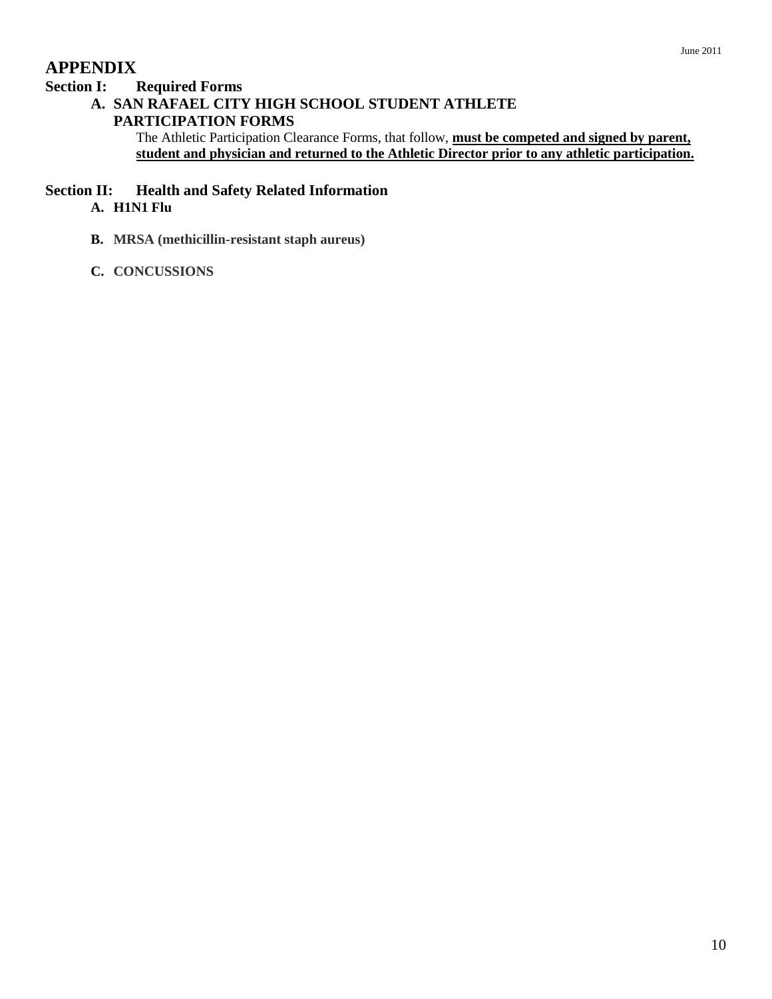# **APPENDIX**

# **Section I: Required Forms**

# **A. SAN RAFAEL CITY HIGH SCHOOL STUDENT ATHLETE**

# **PARTICIPATION FORMS**

The Athletic Participation Clearance Forms, that follow, **must be competed and signed by parent, student and physician and returned to the Athletic Director prior to any athletic participation.**

# **Section II: Health and Safety Related Information**

# **A. H1N1 Flu**

- **B. MRSA (methicillin-resistant staph aureus)**
- **C. CONCUSSIONS**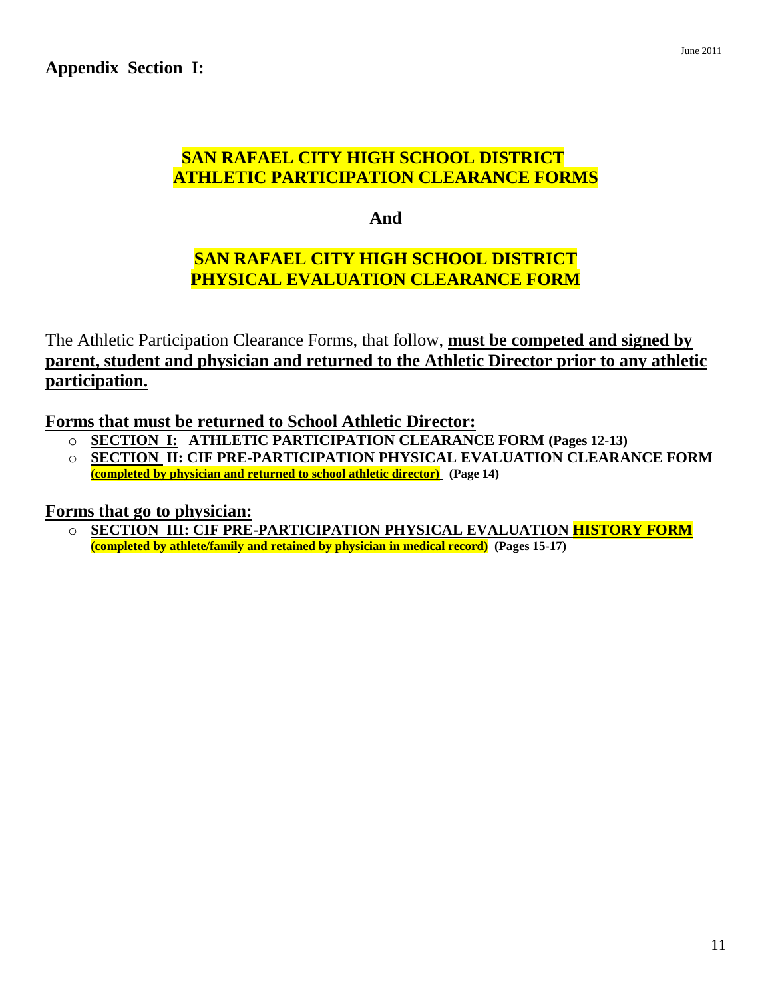# **SAN RAFAEL CITY HIGH SCHOOL DISTRICT ATHLETIC PARTICIPATION CLEARANCE FORMS**

**And** 

# **SAN RAFAEL CITY HIGH SCHOOL DISTRICT PHYSICAL EVALUATION CLEARANCE FORM**

The Athletic Participation Clearance Forms, that follow, **must be competed and signed by parent, student and physician and returned to the Athletic Director prior to any athletic participation.**

**Forms that must be returned to School Athletic Director:**

- o **SECTION I: ATHLETIC PARTICIPATION CLEARANCE FORM (Pages 12-13)**
- o **SECTION II: CIF PRE-PARTICIPATION PHYSICAL EVALUATION CLEARANCE FORM (completed by physician and returned to school athletic director) (Page 14)**

**Forms that go to physician:**

o **SECTION III: CIF PRE-PARTICIPATION PHYSICAL EVALUATION HISTORY FORM (completed by athlete/family and retained by physician in medical record) (Pages 15-17)**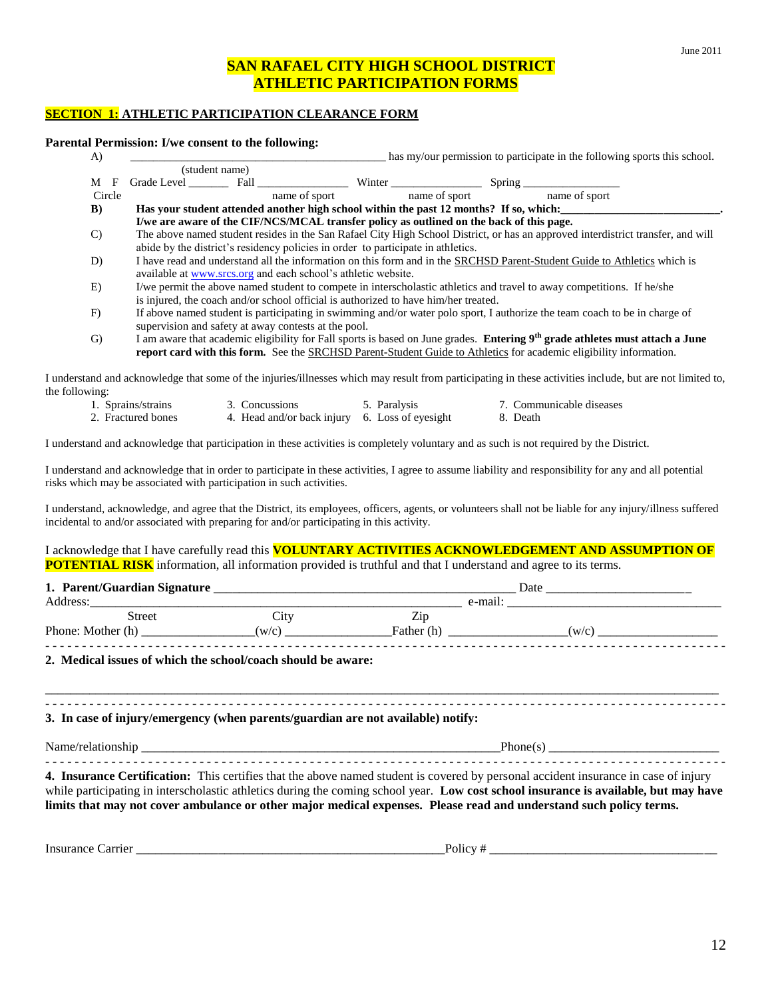# **SAN RAFAEL CITY HIGH SCHOOL DISTRICT ATHLETIC PARTICIPATION FORMS**

### **SECTION 1: ATHLETIC PARTICIPATION CLEARANCE FORM**

#### **Parental Permission: I/we consent to the following:**

| A)            |        |                                                                                          |                                                                                                                |               |               |                                                                                                                        | has my/our permission to participate in the following sports this school.                                                                      |
|---------------|--------|------------------------------------------------------------------------------------------|----------------------------------------------------------------------------------------------------------------|---------------|---------------|------------------------------------------------------------------------------------------------------------------------|------------------------------------------------------------------------------------------------------------------------------------------------|
|               |        | (student name)                                                                           |                                                                                                                |               |               |                                                                                                                        |                                                                                                                                                |
| M             | F      | Grade Level                                                                              | Fall and the same of the same of the same of the same of the same of the same of the same of the same of the s |               |               | Spring                                                                                                                 |                                                                                                                                                |
|               | Circle |                                                                                          |                                                                                                                | name of sport | name of sport | name of sport                                                                                                          |                                                                                                                                                |
| B)            |        |                                                                                          |                                                                                                                |               |               | Has your student attended another high school within the past 12 months? If so, which:                                 |                                                                                                                                                |
|               |        | I/we are aware of the CIF/NCS/MCAL transfer policy as outlined on the back of this page. |                                                                                                                |               |               |                                                                                                                        |                                                                                                                                                |
| $\mathcal{C}$ |        |                                                                                          |                                                                                                                |               |               |                                                                                                                        | The above named student resides in the San Rafael City High School District, or has an approved interdistrict transfer, and will               |
|               |        | abide by the district's residency policies in order to participate in athletics.         |                                                                                                                |               |               |                                                                                                                        |                                                                                                                                                |
| D)            |        |                                                                                          |                                                                                                                |               |               |                                                                                                                        | I have read and understand all the information on this form and in the SRCHSD Parent-Student Guide to Athletics which is                       |
|               |        | available at www.srcs.org and each school's athletic website.                            |                                                                                                                |               |               |                                                                                                                        |                                                                                                                                                |
| E)            |        |                                                                                          |                                                                                                                |               |               | I/we permit the above named student to compete in interscholastic athletics and travel to away competitions. If he/she |                                                                                                                                                |
|               |        | is injured, the coach and/or school official is authorized to have him/her treated.      |                                                                                                                |               |               |                                                                                                                        |                                                                                                                                                |
| $\mathbf{F}$  |        |                                                                                          |                                                                                                                |               |               |                                                                                                                        | If above named student is participating in swimming and/or water polo sport, I authorize the team coach to be in charge of                     |
|               |        | supervision and safety at away contests at the pool.                                     |                                                                                                                |               |               |                                                                                                                        |                                                                                                                                                |
| G)            |        |                                                                                          |                                                                                                                |               |               |                                                                                                                        | I am aware that academic eligibility for Fall sports is based on June grades. <b>Entering 9<sup>th</sup> grade athletes must attach a June</b> |
|               |        |                                                                                          |                                                                                                                |               |               | report card with this form. See the SRCHSD Parent-Student Guide to Athletics for academic eligibility information.     |                                                                                                                                                |

I understand and acknowledge that some of the injuries/illnesses which may result from participating in these activities include, but are not limited to, the following:

1. Sprains/strains 3. Concussions 5. Paralysis 7. Communicable diseases 2. Fractured bones 4. Head and/or back injury 6. Loss of eyesight 8. Death

I understand and acknowledge that participation in these activities is completely voluntary and as such is not required by the District.

I understand and acknowledge that in order to participate in these activities, I agree to assume liability and responsibility for any and all potential risks which may be associated with participation in such activities.

I understand, acknowledge, and agree that the District, its employees, officers, agents, or volunteers shall not be liable for any injury/illness suffered incidental to and/or associated with preparing for and/or participating in this activity.

I acknowledge that I have carefully read this **VOLUNTARY ACTIVITIES ACKNOWLEDGEMENT AND ASSUMPTION OF POTENTIAL RISK** information, all information provided is truthful and that I understand and agree to its terms.

| 1. Parent/Guardian Signature |       |                                         | Date |  |
|------------------------------|-------|-----------------------------------------|------|--|
| Address:                     |       | e-mail:                                 |      |  |
| Street                       | 1tv   | $\overline{\phantom{a}}$<br>$\angle$ ip |      |  |
| Phone: Mother (h)            | (w/c) | Father (h                               | (w/c |  |
|                              |       |                                         |      |  |

\_\_\_\_\_\_\_\_\_\_\_\_\_\_\_\_\_\_\_\_\_\_\_\_\_\_\_\_\_\_\_\_\_\_\_\_\_\_\_\_\_\_\_\_\_\_\_\_\_\_\_\_\_\_\_\_\_\_\_\_\_\_\_\_\_\_\_\_\_\_\_\_\_\_\_\_\_\_\_\_\_\_\_\_\_\_\_\_\_\_\_\_\_\_\_\_\_\_\_\_\_\_\_\_\_\_\_ - - - - - - - - - - - - - - - - - - - - - - - - - - - - - - - - - - - - - - - - - - - - - - - - - - - - - - - - - - - - - - - - - - - - - - - - - - - - - - - - - - - - - - - - - - - - -

**2. Medical issues of which the school/coach should be aware:**

### **3. In case of injury/emergency (when parents/guardian are not available) notify:**

Name/relationship \_\_\_\_\_\_\_\_\_\_\_\_\_\_\_\_\_\_\_\_\_\_\_\_\_\_\_\_\_\_\_\_\_\_\_\_\_\_\_\_\_\_\_\_\_\_\_\_\_\_\_\_\_\_\_\_\_Phone(s) \_\_\_\_\_\_\_\_\_\_\_\_\_\_\_\_\_\_\_\_\_\_\_\_\_\_\_

- - - - - - - - - - - - - - - - - - - - - - - - - - - - - - - - - - - - - - - - - - - - - - - - - - - - - - - - - - - - - - - - - - - - - - - - - - - - - - - - - - - - - - - - - - - - - **4. Insurance Certification:** This certifies that the above named student is covered by personal accident insurance in case of injury while participating in interscholastic athletics during the coming school year. **Low cost school insurance is available, but may have limits that may not cover ambulance or other major medical expenses. Please read and understand such policy terms.**

Insurance Carrier \_\_\_\_\_\_\_\_\_\_\_\_\_\_\_\_\_\_\_\_\_\_\_\_\_\_\_\_\_\_\_\_\_\_\_\_\_\_\_\_\_\_\_\_\_\_\_\_\_Policy # \_\_\_\_\_\_\_\_\_\_\_\_\_\_\_\_\_\_\_\_\_\_\_\_\_\_\_\_\_\_\_\_\_\_\_\_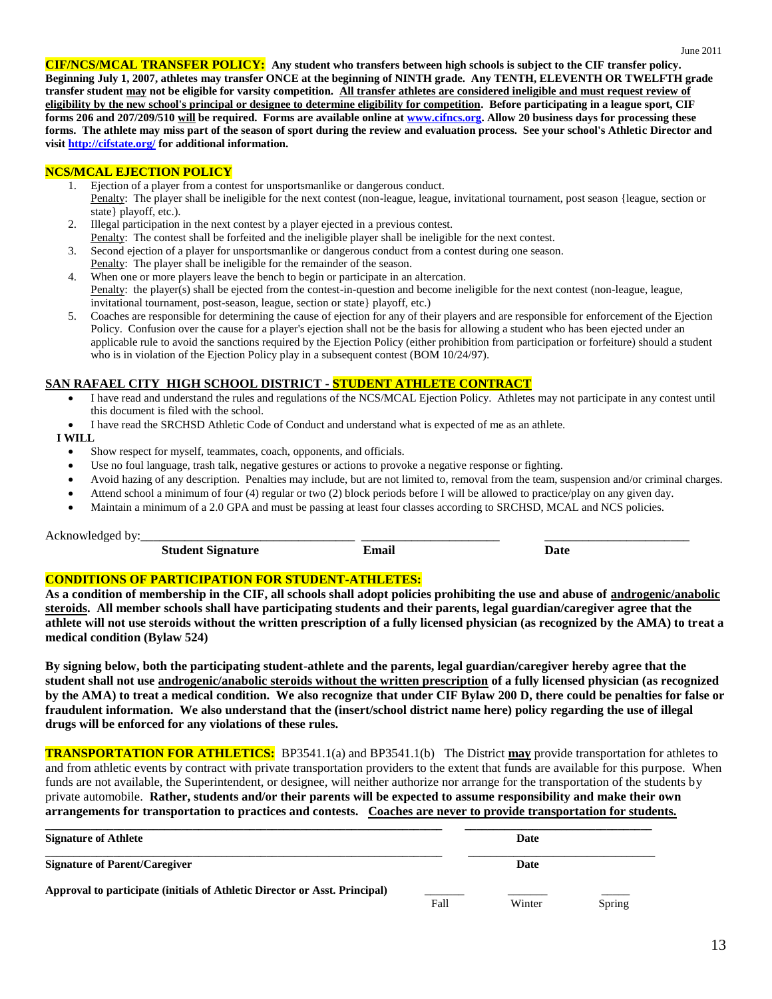**CIF/NCS/MCAL TRANSFER POLICY: Any student who transfers between high schools is subject to the CIF transfer policy. Beginning July 1, 2007, athletes may transfer ONCE at the beginning of NINTH grade. Any TENTH, ELEVENTH OR TWELFTH grade transfer student may not be eligible for varsity competition. All transfer athletes are considered ineligible and must request review of eligibility by the new school's principal or designee to determine eligibility for competition. Before participating in a league sport, CIF forms 206 and 207/209/510 will be required. Forms are available online at [www.cifncs.org.](http://www.cifncs.org/) Allow 20 business days for processing these forms. The athlete may miss part of the season of sport during the review and evaluation process. See your school's Athletic Director and visit<http://cifstate.org/> for additional information.**

### **NCS/MCAL EJECTION POLICY**

- 1. Ejection of a player from a contest for unsportsmanlike or dangerous conduct.
- Penalty: The player shall be ineligible for the next contest (non-league, league, invitational tournament, post season {league, section or state} playoff, etc.).
- 2. Illegal participation in the next contest by a player ejected in a previous contest. Penalty: The contest shall be forfeited and the ineligible player shall be ineligible for the next contest.
- 3. Second ejection of a player for unsportsmanlike or dangerous conduct from a contest during one season.
- Penalty: The player shall be ineligible for the remainder of the season.
- 4. When one or more players leave the bench to begin or participate in an altercation. Penalty: the player(s) shall be ejected from the contest-in-question and become ineligible for the next contest (non-league, league, invitational tournament, post-season, league, section or state} playoff, etc.)
- 5. Coaches are responsible for determining the cause of ejection for any of their players and are responsible for enforcement of the Ejection Policy. Confusion over the cause for a player's ejection shall not be the basis for allowing a student who has been ejected under an applicable rule to avoid the sanctions required by the Ejection Policy (either prohibition from participation or forfeiture) should a student who is in violation of the Ejection Policy play in a subsequent contest (BOM 10/24/97).

### **SAN RAFAEL CITY HIGH SCHOOL DISTRICT - STUDENT ATHLETE CONTRACT**

- I have read and understand the rules and regulations of the NCS/MCAL Ejection Policy. Athletes may not participate in any contest until this document is filed with the school.
- I have read the SRCHSD Athletic Code of Conduct and understand what is expected of me as an athlete.

### **I WILL**

- Show respect for myself, teammates, coach, opponents, and officials.
- Use no foul language, trash talk, negative gestures or actions to provoke a negative response or fighting.
- Avoid hazing of any description. Penalties may include, but are not limited to, removal from the team, suspension and/or criminal charges.
- Attend school a minimum of four (4) regular or two (2) block periods before I will be allowed to practice/play on any given day.
- Maintain a minimum of a 2.0 GPA and must be passing at least four classes according to SRCHSD, MCAL and NCS policies.

Acknowledged by:

| $\sim$<br>Stude<br>---<br>.<br>טור | $\bullet$<br>. <del>.</del> |  |
|------------------------------------|-----------------------------|--|

# **CONDITIONS OF PARTICIPATION FOR STUDENT-ATHLETES:**

**As a condition of membership in the CIF, all schools shall adopt policies prohibiting the use and abuse of androgenic/anabolic steroids. All member schools shall have participating students and their parents, legal guardian/caregiver agree that the athlete will not use steroids without the written prescription of a fully licensed physician (as recognized by the AMA) to treat a medical condition (Bylaw 524)**

**By signing below, both the participating student-athlete and the parents, legal guardian/caregiver hereby agree that the student shall not use androgenic/anabolic steroids without the written prescription of a fully licensed physician (as recognized by the AMA) to treat a medical condition. We also recognize that under CIF Bylaw 200 D, there could be penalties for false or fraudulent information. We also understand that the (insert/school district name here) policy regarding the use of illegal drugs will be enforced for any violations of these rules.**

**TRANSPORTATION FOR ATHLETICS:** BP3541.1(a) and BP3541.1(b) The District **may** provide transportation for athletes to and from athletic events by contract with private transportation providers to the extent that funds are available for this purpose. When funds are not available, the Superintendent, or designee, will neither authorize nor arrange for the transportation of the students by private automobile. **Rather, students and/or their parents will be expected to assume responsibility and make their own arrangements for transportation to practices and contests. Coaches are never to provide transportation for students.**

| <b>Signature of Athlete</b>                                                |      | Date   |        |
|----------------------------------------------------------------------------|------|--------|--------|
| <b>Signature of Parent/Caregiver</b>                                       |      | Date   |        |
| Approval to participate (initials of Athletic Director or Asst. Principal) | Fall | Winter | Spring |

June 2011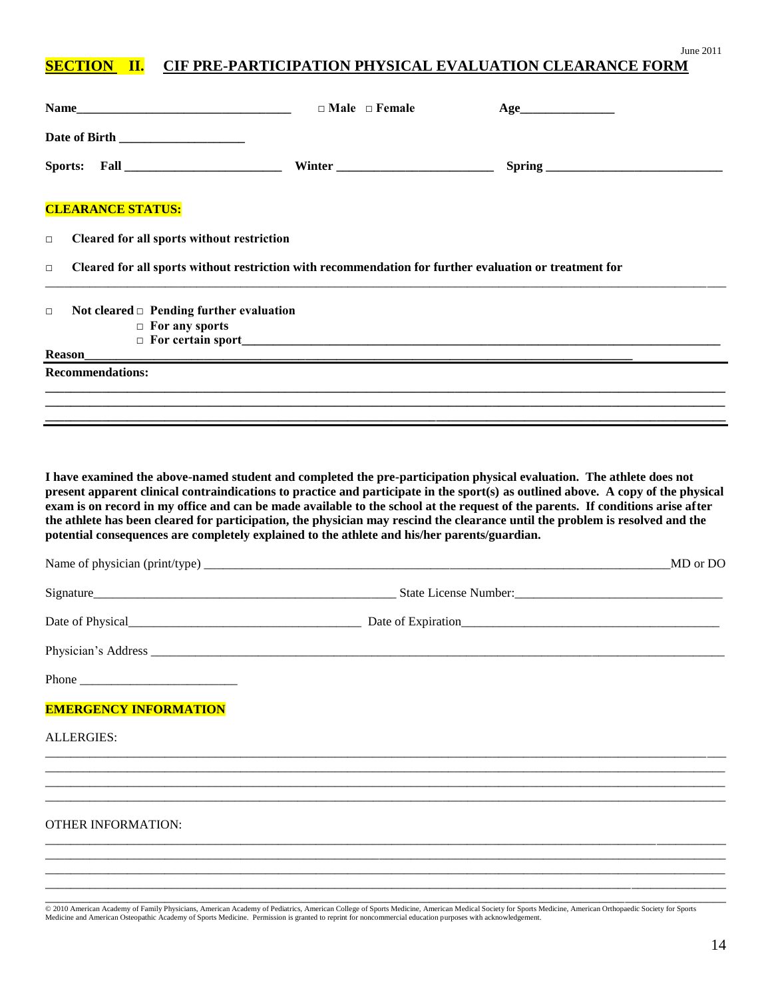# **SECTION II. CIF PRE-PARTICIPATION PHYSICAL EVALUATION CLEARANCE FORM**

| <b>Name</b>                                                                                                      | $\Box$ Male $\Box$ Female | Age                                                                                                                                                                                                                                                                          |
|------------------------------------------------------------------------------------------------------------------|---------------------------|------------------------------------------------------------------------------------------------------------------------------------------------------------------------------------------------------------------------------------------------------------------------------|
|                                                                                                                  |                           |                                                                                                                                                                                                                                                                              |
|                                                                                                                  |                           |                                                                                                                                                                                                                                                                              |
| <b>CLEARANCE STATUS:</b>                                                                                         |                           |                                                                                                                                                                                                                                                                              |
| Cleared for all sports without restriction<br>$\Box$                                                             |                           |                                                                                                                                                                                                                                                                              |
| Cleared for all sports without restriction with recommendation for further evaluation or treatment for<br>$\Box$ |                           |                                                                                                                                                                                                                                                                              |
| Not cleared $\Box$ Pending further evaluation<br>$\Box$<br>$\Box$ For any sports<br><b>Reason</b>                |                           |                                                                                                                                                                                                                                                                              |
| <b>Recommendations:</b>                                                                                          |                           |                                                                                                                                                                                                                                                                              |
|                                                                                                                  |                           |                                                                                                                                                                                                                                                                              |
| potential consequences are completely explained to the athlete and his/her parents/guardian.                     |                           | exam is on record in my office and can be made available to the school at the request of the parents. If conditions arise after<br>the athlete has been cleared for participation, the physician may rescind the clearance until the problem is resolved and the<br>MD or DO |
|                                                                                                                  |                           |                                                                                                                                                                                                                                                                              |
|                                                                                                                  |                           | Date of Physical Date of Expiration Date of Expiration                                                                                                                                                                                                                       |
|                                                                                                                  |                           |                                                                                                                                                                                                                                                                              |
|                                                                                                                  |                           |                                                                                                                                                                                                                                                                              |
| <b>EMERGENCY INFORMATION</b>                                                                                     |                           |                                                                                                                                                                                                                                                                              |
| <b>ALLERGIES:</b>                                                                                                |                           |                                                                                                                                                                                                                                                                              |
|                                                                                                                  |                           |                                                                                                                                                                                                                                                                              |
|                                                                                                                  |                           |                                                                                                                                                                                                                                                                              |
| <b>OTHER INFORMATION:</b>                                                                                        |                           |                                                                                                                                                                                                                                                                              |
|                                                                                                                  |                           |                                                                                                                                                                                                                                                                              |
|                                                                                                                  |                           |                                                                                                                                                                                                                                                                              |

© 2010 American Academy of Family Physicians, American Academy of Pediatrics, American College of Sports Medicine, American Medical Society for Sports Medicine, American Orthopaedic Society for Sports<br>Medicine and American

June 2011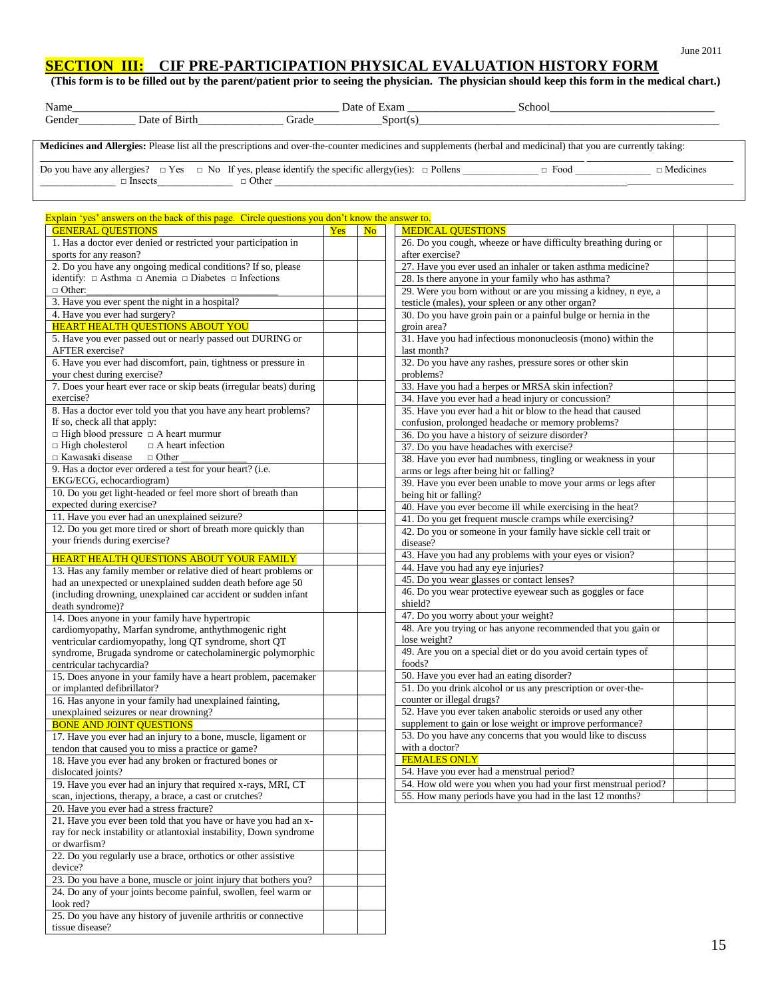# **SECTION III: CIF PRE-PARTICIPATION PHYSICAL EVALUATION HISTORY FORM**

### **(This form is to be filled out by the parent/patient prior to seeing the physician. The physician should keep this form in the medical chart.)**

| Name   |                |       | Date of Exam                                | School                                                                                                                                                          |   |
|--------|----------------|-------|---------------------------------------------|-----------------------------------------------------------------------------------------------------------------------------------------------------------------|---|
| Gender | Date of Birth  | Grade | Sort(s)                                     |                                                                                                                                                                 |   |
|        |                |       |                                             |                                                                                                                                                                 |   |
|        |                |       |                                             | Medicines and Allergies: Please list all the prescriptions and over-the-counter medicines and supplements (herbal and medicinal) that you are currently taking: |   |
| __     | .<br>$-2$ $-2$ |       | المتحدث المنافس والمتحدث والمستحدث والمتحدث | ---                                                                                                                                                             | . |

Do you have any allergies?  $\Box$  Yes  $\Box$  No If yes, please identify the specific allergy(ies):  $\Box$  Pollens  $\Box$  Food  $\Box$  Medicines \_\_\_\_\_\_\_\_\_\_\_\_\_\_\_ □ Insects\_\_\_\_\_\_\_\_\_\_\_\_\_\_\_ □ Other \_\_\_\_\_\_\_\_\_\_\_\_\_\_\_\_\_\_\_\_\_\_\_\_\_\_\_\_\_\_\_\_\_\_\_\_\_\_\_\_\_\_\_\_\_\_\_\_\_\_\_\_\_\_\_\_\_\_\_\_\_\_\_\_\_\_\_\_\_\_\_\_\_\_\_\_\_\_\_\_\_\_\_\_\_\_\_\_\_\_\_

| Explain 'yes' answers on the back of this page. Circle questions you don't know the answer to.                  |     |                        |                                                                                            |  |
|-----------------------------------------------------------------------------------------------------------------|-----|------------------------|--------------------------------------------------------------------------------------------|--|
| <b>GENERAL QUESTIONS</b>                                                                                        | Yes | $\overline{\text{No}}$ | <b>MEDICAL QUESTIONS</b>                                                                   |  |
| 1. Has a doctor ever denied or restricted your participation in                                                 |     |                        | 26. Do you cough, wheeze or have difficulty breathing during or                            |  |
| sports for any reason?                                                                                          |     |                        | after exercise?                                                                            |  |
| 2. Do you have any ongoing medical conditions? If so, please                                                    |     |                        | 27. Have you ever used an inhaler or taken asthma medicine?                                |  |
| identify: $\Box$ Asthma $\Box$ Anemia $\Box$ Diabetes $\Box$ Infections                                         |     |                        | 28. Is there anyone in your family who has asthma?                                         |  |
| $\Box$ Other:                                                                                                   |     |                        | 29. Were you born without or are you missing a kidney, n eye, a                            |  |
| 3. Have you ever spent the night in a hospital?                                                                 |     |                        | testicle (males), your spleen or any other organ?                                          |  |
| 4. Have you ever had surgery?                                                                                   |     |                        | 30. Do you have groin pain or a painful bulge or hernia in the                             |  |
| <b>HEART HEALTH QUESTIONS ABOUT YOU</b>                                                                         |     |                        | groin area?                                                                                |  |
| 5. Have you ever passed out or nearly passed out DURING or                                                      |     |                        | 31. Have you had infectious mononucleosis (mono) within the                                |  |
| <b>AFTER</b> exercise?                                                                                          |     |                        | last month?                                                                                |  |
| 6. Have you ever had discomfort, pain, tightness or pressure in                                                 |     |                        | 32. Do you have any rashes, pressure sores or other skin                                   |  |
| your chest during exercise?                                                                                     |     |                        | problems?                                                                                  |  |
| 7. Does your heart ever race or skip beats (irregular beats) during                                             |     |                        | 33. Have you had a herpes or MRSA skin infection?                                          |  |
| exercise?                                                                                                       |     |                        | 34. Have you ever had a head injury or concussion?                                         |  |
| 8. Has a doctor ever told you that you have any heart problems?<br>If so, check all that apply:                 |     |                        | 35. Have you ever had a hit or blow to the head that caused                                |  |
| $\Box$ High blood pressure $\Box$ A heart murmur                                                                |     |                        | confusion, prolonged headache or memory problems?                                          |  |
| $\Box$ High cholesterol<br>$\Box$ A heart infection                                                             |     |                        | 36. Do you have a history of seizure disorder?<br>37. Do you have headaches with exercise? |  |
| $\Box$ Kawasaki disease<br>$\Box$ Other                                                                         |     |                        |                                                                                            |  |
| 9. Has a doctor ever ordered a test for your heart? (i.e.                                                       |     |                        | 38. Have you ever had numbness, tingling or weakness in your                               |  |
| EKG/ECG, echocardiogram)                                                                                        |     |                        | arms or legs after being hit or falling?                                                   |  |
| 10. Do you get light-headed or feel more short of breath than                                                   |     |                        | 39. Have you ever been unable to move your arms or legs after<br>being hit or falling?     |  |
| expected during exercise?                                                                                       |     |                        | 40. Have you ever become ill while exercising in the heat?                                 |  |
| 11. Have you ever had an unexplained seizure?                                                                   |     |                        | 41. Do you get frequent muscle cramps while exercising?                                    |  |
| 12. Do you get more tired or short of breath more quickly than                                                  |     |                        | 42. Do you or someone in your family have sickle cell trait or                             |  |
| your friends during exercise?                                                                                   |     |                        | disease?                                                                                   |  |
|                                                                                                                 |     |                        | 43. Have you had any problems with your eyes or vision?                                    |  |
| HEART HEALTH QUESTIONS ABOUT YOUR FAMILY                                                                        |     |                        | 44. Have you had any eye injuries?                                                         |  |
| 13. Has any family member or relative died of heart problems or                                                 |     |                        | 45. Do you wear glasses or contact lenses?                                                 |  |
| had an unexpected or unexplained sudden death before age 50                                                     |     |                        | 46. Do you wear protective eyewear such as goggles or face                                 |  |
| (including drowning, unexplained car accident or sudden infant                                                  |     |                        | shield?                                                                                    |  |
| death syndrome)?                                                                                                |     |                        | 47. Do you worry about your weight?                                                        |  |
| 14. Does anyone in your family have hypertropic                                                                 |     |                        | 48. Are you trying or has anyone recommended that you gain or                              |  |
| cardiomyopathy, Marfan syndrome, anthythmogenic right<br>ventricular cardiomyopathy, long QT syndrome, short QT |     |                        | lose weight?                                                                               |  |
| syndrome, Brugada syndrome or catecholaminergic polymorphic                                                     |     |                        | 49. Are you on a special diet or do you avoid certain types of                             |  |
| centricular tachycardia?                                                                                        |     |                        | foods?                                                                                     |  |
| 15. Does anyone in your family have a heart problem, pacemaker                                                  |     |                        | 50. Have you ever had an eating disorder?                                                  |  |
| or implanted defibrillator?                                                                                     |     |                        | 51. Do you drink alcohol or us any prescription or over-the-                               |  |
| 16. Has anyone in your family had unexplained fainting,                                                         |     |                        | counter or illegal drugs?                                                                  |  |
| unexplained seizures or near drowning?                                                                          |     |                        | 52. Have you ever taken anabolic steroids or used any other                                |  |
| <b>BONE AND JOINT QUESTIONS</b>                                                                                 |     |                        | supplement to gain or lose weight or improve performance?                                  |  |
| 17. Have you ever had an injury to a bone, muscle, ligament or                                                  |     |                        | 53. Do you have any concerns that you would like to discuss                                |  |
| tendon that caused you to miss a practice or game?                                                              |     |                        | with a doctor?                                                                             |  |
| 18. Have you ever had any broken or fractured bones or                                                          |     |                        | <b>FEMALES ONLY</b>                                                                        |  |
| dislocated joints?                                                                                              |     |                        | 54. Have you ever had a menstrual period?                                                  |  |
| 19. Have you ever had an injury that required x-rays, MRI, CT                                                   |     |                        | 54. How old were you when you had your first menstrual period?                             |  |
| scan, injections, therapy, a brace, a cast or crutches?                                                         |     |                        | 55. How many periods have you had in the last 12 months?                                   |  |
| 20. Have you ever had a stress fracture?                                                                        |     |                        |                                                                                            |  |
| 21. Have you ever been told that you have or have you had an x-                                                 |     |                        |                                                                                            |  |
| ray for neck instability or atlantoxial instability, Down syndrome                                              |     |                        |                                                                                            |  |
| or dwarfism?                                                                                                    |     |                        |                                                                                            |  |
| 22. Do you regularly use a brace, orthotics or other assistive                                                  |     |                        |                                                                                            |  |
| device?                                                                                                         |     |                        |                                                                                            |  |
| 23. Do you have a bone, muscle or joint injury that bothers you?                                                |     |                        |                                                                                            |  |
| 24. Do any of your joints become painful, swollen, feel warm or                                                 |     |                        |                                                                                            |  |
| look red?                                                                                                       |     |                        |                                                                                            |  |
| 25. Do you have any history of juvenile arthritis or connective                                                 |     |                        |                                                                                            |  |

tissue disease?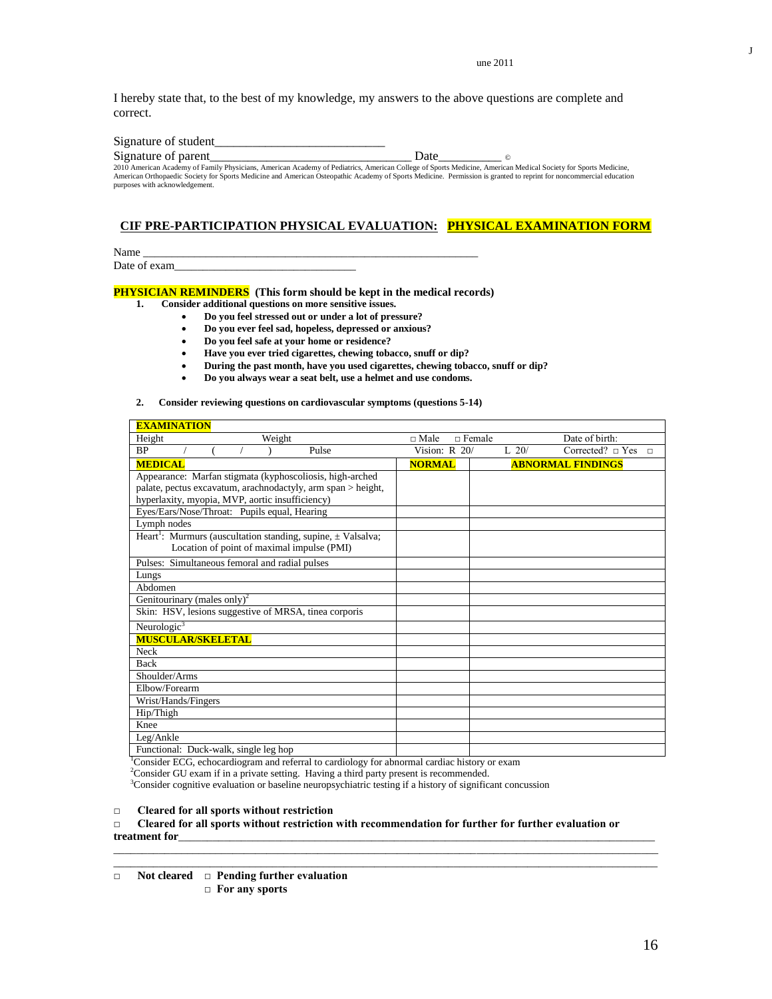une 2011

I hereby state that, to the best of my knowledge, my answers to the above questions are complete and correct.

| Signature of student                                                                                                                                               |      |  |
|--------------------------------------------------------------------------------------------------------------------------------------------------------------------|------|--|
| Signature of parent                                                                                                                                                | Date |  |
| 2010 American Academy of Family Physicians, American Academy of Pediatrics, American College of Sports Medicine, American Medical Society for Sports Medicine,     |      |  |
| American Orthopaedic Society for Sports Medicine and American Osteopathic Academy of Sports Medicine. Permission is granted to reprint for noncommercial education |      |  |
| purposes with acknowledgement.                                                                                                                                     |      |  |

### **CIF PRE-PARTICIPATION PHYSICAL EVALUATION: PHYSICAL EXAMINATION FORM**

Name \_\_\_\_\_\_\_\_\_\_\_\_\_\_\_\_\_\_\_\_\_\_\_\_\_\_\_\_\_\_\_\_\_\_\_\_\_\_\_\_\_\_\_\_\_\_\_\_\_\_\_\_\_\_\_\_\_\_\_ Date of exam

# **PHYSICIAN REMINDERS** (This form should be kept in the medical records)<br>1. Consider additional questions on more sensitive issues.

- **1. Consider additional questions on more sensitive issues.**
	- **Do you feel stressed out or under a lot of pressure?**
	- **Do you ever feel sad, hopeless, depressed or anxious?**
	- **Do you feel safe at your home or residence?**
	- **Have you ever tried cigarettes, chewing tobacco, snuff or dip?**
	- **During the past month, have you used cigarettes, chewing tobacco, snuff or dip?**
	- **Do you always wear a seat belt, use a helmet and use condoms.**

#### **2. Consider reviewing questions on cardiovascular symptoms (questions 5-14)**

| <b>EXAMINATION</b>                                                           |                                |           |                              |
|------------------------------------------------------------------------------|--------------------------------|-----------|------------------------------|
| Height<br>Weight                                                             | $\Box$ Male<br>$\sqcap$ Female |           | Date of birth:               |
| <b>BP</b><br>Pulse                                                           | Vision: $R$ 20/                | $L_{20}/$ | Corrected? $\Box$ Yes $\Box$ |
| <b>MEDICAL</b>                                                               | <b>NORMAL</b>                  |           | <b>ABNORMAL FINDINGS</b>     |
| Appearance: Marfan stigmata (kyphoscoliosis, high-arched                     |                                |           |                              |
| palate, pectus excavatum, arachnodactyly, arm span > height,                 |                                |           |                              |
| hyperlaxity, myopia, MVP, aortic insufficiency)                              |                                |           |                              |
| Eyes/Ears/Nose/Throat: Pupils equal, Hearing                                 |                                |           |                              |
| Lymph nodes                                                                  |                                |           |                              |
| Heart <sup>1</sup> : Murmurs (auscultation standing, supine, $\pm$ Valsalva; |                                |           |                              |
| Location of point of maximal impulse (PMI)                                   |                                |           |                              |
| Pulses: Simultaneous femoral and radial pulses                               |                                |           |                              |
| Lungs                                                                        |                                |           |                              |
| Abdomen                                                                      |                                |           |                              |
| Genitourinary (males only) <sup>2</sup>                                      |                                |           |                              |
| Skin: HSV, lesions suggestive of MRSA, tinea corporis                        |                                |           |                              |
| Neurologic $3$                                                               |                                |           |                              |
| <b>MUSCULAR/SKELETAL</b>                                                     |                                |           |                              |
| <b>Neck</b>                                                                  |                                |           |                              |
| <b>Back</b>                                                                  |                                |           |                              |
| Shoulder/Arms                                                                |                                |           |                              |
| Elbow/Forearm                                                                |                                |           |                              |
| Wrist/Hands/Fingers                                                          |                                |           |                              |
| Hip/Thigh                                                                    |                                |           |                              |
| Knee                                                                         |                                |           |                              |
| Leg/Ankle                                                                    |                                |           |                              |
| Functional: Duck-walk, single leg hop                                        |                                |           |                              |

<sup>1</sup>Consider ECG, echocardiogram and referral to cardiology for abnormal cardiac history or exam

<sup>2</sup>Consider GU exam if in a private setting. Having a third party present is recommended.

<sup>3</sup>Consider cognitive evaluation or baseline neuropsychiatric testing if a history of significant concussion

### **□ Cleared for all sports without restriction**

**□ Cleared for all sports without restriction with recommendation for further for further evaluation or**  treatment for

 $\overline{a_1}$  ,  $\overline{a_2}$  ,  $\overline{a_3}$  ,  $\overline{a_4}$  ,  $\overline{a_5}$  ,  $\overline{a_6}$  ,  $\overline{a_7}$  ,  $\overline{a_8}$  ,  $\overline{a_9}$  ,  $\overline{a_9}$  ,  $\overline{a_9}$  ,  $\overline{a_9}$  ,  $\overline{a_9}$  ,  $\overline{a_9}$  ,  $\overline{a_9}$  ,  $\overline{a_9}$  ,  $\overline{a_9}$  ,  $\Box$ 

J

<sup>□</sup> **Not cleared □ Pending further evaluation □ For any sports**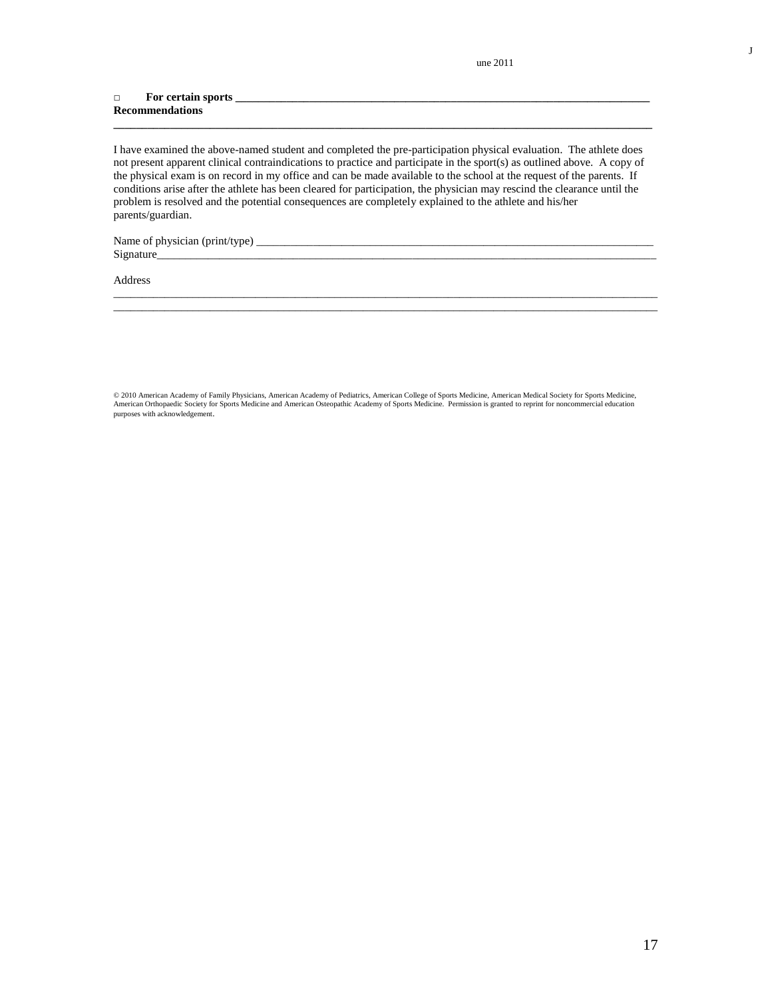une 2011

#### □ **For certain sports \_\_\_\_\_\_\_\_\_\_\_\_\_\_\_\_\_\_\_\_\_\_\_\_\_\_\_\_\_\_\_\_\_\_\_\_\_\_\_\_\_\_\_\_\_\_\_\_\_\_\_\_\_\_\_\_\_\_\_\_\_\_\_\_\_\_\_\_\_\_\_\_\_ Recommendations**

I have examined the above-named student and completed the pre-participation physical evaluation. The athlete does not present apparent clinical contraindications to practice and participate in the sport(s) as outlined above. A copy of the physical exam is on record in my office and can be made available to the school at the request of the parents. If conditions arise after the athlete has been cleared for participation, the physician may rescind the clearance until the problem is resolved and the potential consequences are completely explained to the athlete and his/her parents/guardian.

\_\_\_\_\_\_\_\_\_\_\_\_\_\_\_\_\_\_\_\_\_\_\_\_\_\_\_\_\_\_\_\_\_\_\_\_\_\_\_\_\_\_\_\_\_\_\_\_\_\_\_\_\_\_\_\_\_\_\_\_\_\_\_\_\_\_\_\_\_\_\_\_\_\_\_\_\_\_\_\_\_\_\_\_\_\_\_\_\_\_\_\_\_\_\_\_  $\overline{\phantom{a}}$  , and the contribution of the contribution of the contribution of the contribution of the contribution of the contribution of the contribution of the contribution of the contribution of the contribution of the

**\_\_\_\_\_\_\_\_\_\_\_\_\_\_\_\_\_\_\_\_\_\_\_\_\_\_\_\_\_\_\_\_\_\_\_\_\_\_\_\_\_\_\_\_\_\_\_\_\_\_\_\_\_\_\_\_\_\_\_\_\_\_\_\_\_\_\_\_\_\_\_\_\_\_\_\_\_\_\_\_\_\_\_\_\_\_\_\_\_\_\_\_\_\_\_**

Name of physician (print/type) \_\_\_\_\_\_\_\_\_\_\_\_\_\_\_\_\_\_\_\_\_\_\_\_\_\_\_\_\_\_\_\_\_\_\_\_\_\_\_\_\_\_\_\_\_\_\_\_\_\_\_\_\_\_\_\_\_\_\_\_\_\_\_\_\_\_\_\_\_\_ Signature\_\_\_\_\_\_\_\_\_\_\_\_\_\_\_\_\_\_\_\_\_\_\_\_\_\_\_\_\_\_\_\_\_\_\_\_\_\_\_\_\_\_\_\_\_\_\_\_\_\_\_\_\_\_\_\_\_\_\_\_\_\_\_\_\_\_\_\_\_\_\_\_\_\_\_\_\_\_\_\_\_\_\_\_\_\_\_\_

Address

© 2010 American Academy of Family Physicians, American Academy of Pediatrics, American College of Sports Medicine, American Medical Society for Sports Medicine,<br>American Orthopaedic Society for Sports Medicine and American purposes with acknowledgement.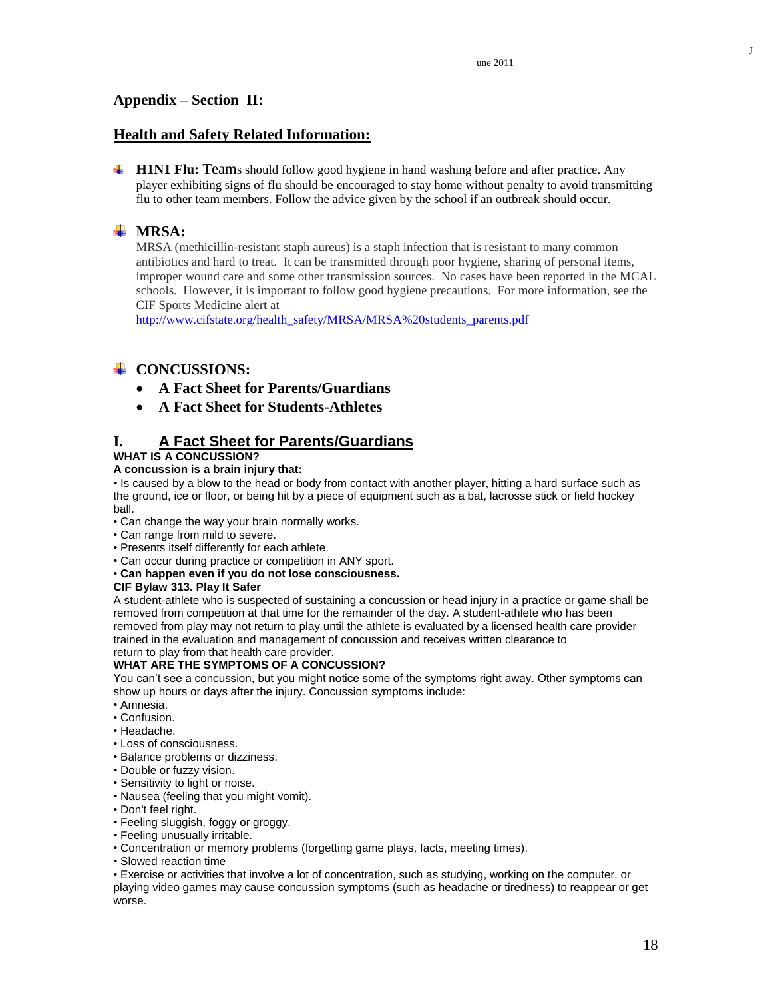J

# **Health and Safety Related Information:**

**H1N1 Flu:** Teams should follow good hygiene in hand washing before and after practice. Any player exhibiting signs of flu should be encouraged to stay home without penalty to avoid transmitting flu to other team members. Follow the advice given by the school if an outbreak should occur.

# **MRSA:**

MRSA (methicillin-resistant staph aureus) is a staph infection that is resistant to many common antibiotics and hard to treat. It can be transmitted through poor hygiene, sharing of personal items, improper wound care and some other transmission sources. No cases have been reported in the MCAL schools. However, it is important to follow good hygiene precautions. For more information, see the CIF Sports Medicine alert at

[http://www.cifstate.org/health\\_safety/MRSA/MRSA%20students\\_parents.pdf](http://www.cifstate.org/health_safety/MRSA/MRSA%20students_parents.pdf)

# **↓ CONCUSSIONS:**

- **A Fact Sheet for Parents/Guardians**
- **A Fact Sheet for Students-Athletes**

# **I. A Fact Sheet for Parents/Guardians**

### **WHAT IS A CONCUSSION?**

### **A concussion is a brain injury that:**

• Is caused by a blow to the head or body from contact with another player, hitting a hard surface such as the ground, ice or floor, or being hit by a piece of equipment such as a bat, lacrosse stick or field hockey ball.

- Can change the way your brain normally works.
- Can range from mild to severe.
- Presents itself differently for each athlete.
- Can occur during practice or competition in ANY sport.
- **Can happen even if you do not lose consciousness.**

### **CIF Bylaw 313. Play It Safer**

A student-athlete who is suspected of sustaining a concussion or head injury in a practice or game shall be removed from competition at that time for the remainder of the day. A student-athlete who has been removed from play may not return to play until the athlete is evaluated by a licensed health care provider trained in the evaluation and management of concussion and receives written clearance to return to play from that health care provider.

# **WHAT ARE THE SYMPTOMS OF A CONCUSSION?**

You can't see a concussion, but you might notice some of the symptoms right away. Other symptoms can show up hours or days after the injury. Concussion symptoms include:

- Amnesia.
- Confusion.
- Headache.
- Loss of consciousness.
- Balance problems or dizziness.
- Double or fuzzy vision.
- Sensitivity to light or noise.
- Nausea (feeling that you might vomit).
- Don't feel right.
- Feeling sluggish, foggy or groggy.
- Feeling unusually irritable.
- Concentration or memory problems (forgetting game plays, facts, meeting times).
- Slowed reaction time

• Exercise or activities that involve a lot of concentration, such as studying, working on the computer, or playing video games may cause concussion symptoms (such as headache or tiredness) to reappear or get worse.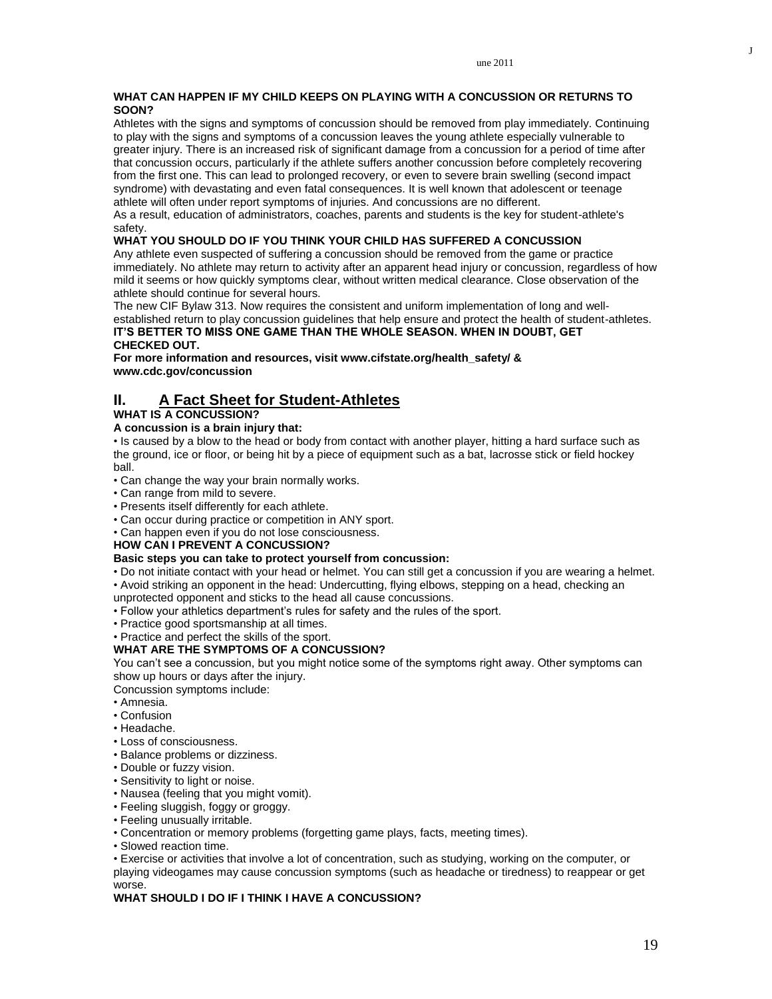### **WHAT CAN HAPPEN IF MY CHILD KEEPS ON PLAYING WITH A CONCUSSION OR RETURNS TO SOON?**

Athletes with the signs and symptoms of concussion should be removed from play immediately. Continuing to play with the signs and symptoms of a concussion leaves the young athlete especially vulnerable to greater injury. There is an increased risk of significant damage from a concussion for a period of time after that concussion occurs, particularly if the athlete suffers another concussion before completely recovering from the first one. This can lead to prolonged recovery, or even to severe brain swelling (second impact syndrome) with devastating and even fatal consequences. It is well known that adolescent or teenage athlete will often under report symptoms of injuries. And concussions are no different.

As a result, education of administrators, coaches, parents and students is the key for student-athlete's safety.

### **WHAT YOU SHOULD DO IF YOU THINK YOUR CHILD HAS SUFFERED A CONCUSSION**

Any athlete even suspected of suffering a concussion should be removed from the game or practice immediately. No athlete may return to activity after an apparent head injury or concussion, regardless of how mild it seems or how quickly symptoms clear, without written medical clearance. Close observation of the athlete should continue for several hours.

The new CIF Bylaw 313. Now requires the consistent and uniform implementation of long and wellestablished return to play concussion guidelines that help ensure and protect the health of student-athletes. **IT'S BETTER TO MISS ONE GAME THAN THE WHOLE SEASON. WHEN IN DOUBT, GET CHECKED OUT.**

**For more information and resources, visit www.cifstate.org/health\_safety/ & www.cdc.gov/concussion**

# **II. A Fact Sheet for Student-Athletes**

### **WHAT IS A CONCUSSION?**

### **A concussion is a brain injury that:**

• Is caused by a blow to the head or body from contact with another player, hitting a hard surface such as the ground, ice or floor, or being hit by a piece of equipment such as a bat, lacrosse stick or field hockey ball.

- Can change the way your brain normally works.
- Can range from mild to severe.
- Presents itself differently for each athlete.
- Can occur during practice or competition in ANY sport.
- Can happen even if you do not lose consciousness.

### **HOW CAN I PREVENT A CONCUSSION?**

### **Basic steps you can take to protect yourself from concussion:**

- Do not initiate contact with your head or helmet. You can still get a concussion if you are wearing a helmet.
- Avoid striking an opponent in the head: Undercutting, flying elbows, stepping on a head, checking an
- unprotected opponent and sticks to the head all cause concussions.
- Follow your athletics department's rules for safety and the rules of the sport.
- Practice good sportsmanship at all times.
- Practice and perfect the skills of the sport.

### **WHAT ARE THE SYMPTOMS OF A CONCUSSION?**

You can't see a concussion, but you might notice some of the symptoms right away. Other symptoms can show up hours or days after the injury.

Concussion symptoms include:

- Amnesia.
- Confusion
- Headache.
- Loss of consciousness.
- Balance problems or dizziness.
- Double or fuzzy vision.
- Sensitivity to light or noise.
- Nausea (feeling that you might vomit).
- Feeling sluggish, foggy or groggy.
- Feeling unusually irritable.
- Concentration or memory problems (forgetting game plays, facts, meeting times).
- Slowed reaction time.
- Exercise or activities that involve a lot of concentration, such as studying, working on the computer, or

playing videogames may cause concussion symptoms (such as headache or tiredness) to reappear or get worse.

### **WHAT SHOULD I DO IF I THINK I HAVE A CONCUSSION?**